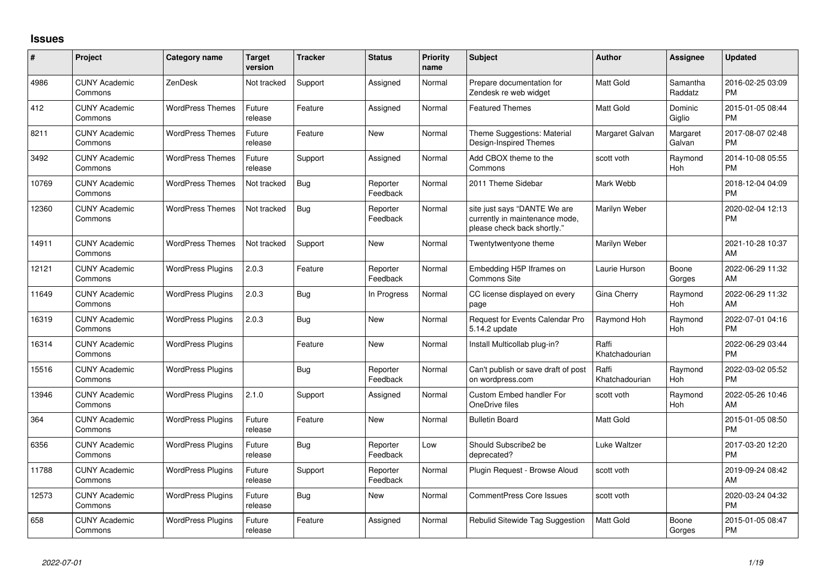## **Issues**

| #     | Project                         | <b>Category name</b>     | <b>Target</b><br>version | <b>Tracker</b> | <b>Status</b>        | Priority<br>name | <b>Subject</b>                                                                                | <b>Author</b>           | <b>Assignee</b>     | <b>Updated</b>                |
|-------|---------------------------------|--------------------------|--------------------------|----------------|----------------------|------------------|-----------------------------------------------------------------------------------------------|-------------------------|---------------------|-------------------------------|
| 4986  | <b>CUNY Academic</b><br>Commons | ZenDesk                  | Not tracked              | Support        | Assigned             | Normal           | Prepare documentation for<br>Zendesk re web widget                                            | Matt Gold               | Samantha<br>Raddatz | 2016-02-25 03:09<br><b>PM</b> |
| 412   | <b>CUNY Academic</b><br>Commons | <b>WordPress Themes</b>  | Future<br>release        | Feature        | Assigned             | Normal           | <b>Featured Themes</b>                                                                        | <b>Matt Gold</b>        | Dominic<br>Giglio   | 2015-01-05 08:44<br><b>PM</b> |
| 8211  | <b>CUNY Academic</b><br>Commons | <b>WordPress Themes</b>  | Future<br>release        | Feature        | New                  | Normal           | Theme Suggestions: Material<br>Design-Inspired Themes                                         | Margaret Galvan         | Margaret<br>Galvan  | 2017-08-07 02:48<br><b>PM</b> |
| 3492  | <b>CUNY Academic</b><br>Commons | <b>WordPress Themes</b>  | Future<br>release        | Support        | Assigned             | Normal           | Add CBOX theme to the<br>Commons                                                              | scott voth              | Raymond<br>Hoh      | 2014-10-08 05:55<br><b>PM</b> |
| 10769 | <b>CUNY Academic</b><br>Commons | <b>WordPress Themes</b>  | Not tracked              | <b>Bug</b>     | Reporter<br>Feedback | Normal           | 2011 Theme Sidebar                                                                            | Mark Webb               |                     | 2018-12-04 04:09<br><b>PM</b> |
| 12360 | <b>CUNY Academic</b><br>Commons | <b>WordPress Themes</b>  | Not tracked              | Bug            | Reporter<br>Feedback | Normal           | site just says "DANTE We are<br>currently in maintenance mode,<br>please check back shortly." | Marilyn Weber           |                     | 2020-02-04 12:13<br>PM        |
| 14911 | <b>CUNY Academic</b><br>Commons | <b>WordPress Themes</b>  | Not tracked              | Support        | <b>New</b>           | Normal           | Twentytwentyone theme                                                                         | Marilyn Weber           |                     | 2021-10-28 10:37<br><b>AM</b> |
| 12121 | <b>CUNY Academic</b><br>Commons | <b>WordPress Plugins</b> | 2.0.3                    | Feature        | Reporter<br>Feedback | Normal           | Embedding H5P Iframes on<br><b>Commons Site</b>                                               | Laurie Hurson           | Boone<br>Gorges     | 2022-06-29 11:32<br>AM        |
| 11649 | <b>CUNY Academic</b><br>Commons | <b>WordPress Plugins</b> | 2.0.3                    | Bug            | In Progress          | Normal           | CC license displayed on every<br>page                                                         | Gina Cherry             | Raymond<br>Hoh      | 2022-06-29 11:32<br>AM        |
| 16319 | <b>CUNY Academic</b><br>Commons | <b>WordPress Plugins</b> | 2.0.3                    | Bug            | <b>New</b>           | Normal           | Request for Events Calendar Pro<br>5.14.2 update                                              | Raymond Hoh             | Raymond<br>Hoh      | 2022-07-01 04:16<br><b>PM</b> |
| 16314 | <b>CUNY Academic</b><br>Commons | <b>WordPress Plugins</b> |                          | Feature        | <b>New</b>           | Normal           | Install Multicollab plug-in?                                                                  | Raffi<br>Khatchadourian |                     | 2022-06-29 03:44<br><b>PM</b> |
| 15516 | <b>CUNY Academic</b><br>Commons | <b>WordPress Plugins</b> |                          | <b>Bug</b>     | Reporter<br>Feedback | Normal           | Can't publish or save draft of post<br>on wordpress.com                                       | Raffi<br>Khatchadourian | Raymond<br>Hoh      | 2022-03-02 05:52<br><b>PM</b> |
| 13946 | <b>CUNY Academic</b><br>Commons | <b>WordPress Plugins</b> | 2.1.0                    | Support        | Assigned             | Normal           | Custom Embed handler For<br>OneDrive files                                                    | scott voth              | Raymond<br>Hoh      | 2022-05-26 10:46<br>AM        |
| 364   | <b>CUNY Academic</b><br>Commons | <b>WordPress Plugins</b> | Future<br>release        | Feature        | New                  | Normal           | <b>Bulletin Board</b>                                                                         | <b>Matt Gold</b>        |                     | 2015-01-05 08:50<br><b>PM</b> |
| 6356  | <b>CUNY Academic</b><br>Commons | <b>WordPress Plugins</b> | Future<br>release        | Bug            | Reporter<br>Feedback | Low              | Should Subscribe2 be<br>deprecated?                                                           | Luke Waltzer            |                     | 2017-03-20 12:20<br><b>PM</b> |
| 11788 | <b>CUNY Academic</b><br>Commons | <b>WordPress Plugins</b> | Future<br>release        | Support        | Reporter<br>Feedback | Normal           | Plugin Request - Browse Aloud                                                                 | scott voth              |                     | 2019-09-24 08:42<br>AM        |
| 12573 | <b>CUNY Academic</b><br>Commons | <b>WordPress Plugins</b> | Future<br>release        | Bug            | New                  | Normal           | <b>CommentPress Core Issues</b>                                                               | scott voth              |                     | 2020-03-24 04:32<br>PM        |
| 658   | <b>CUNY Academic</b><br>Commons | <b>WordPress Plugins</b> | Future<br>release        | Feature        | Assigned             | Normal           | Rebulid Sitewide Tag Suggestion                                                               | <b>Matt Gold</b>        | Boone<br>Gorges     | 2015-01-05 08:47<br>PM        |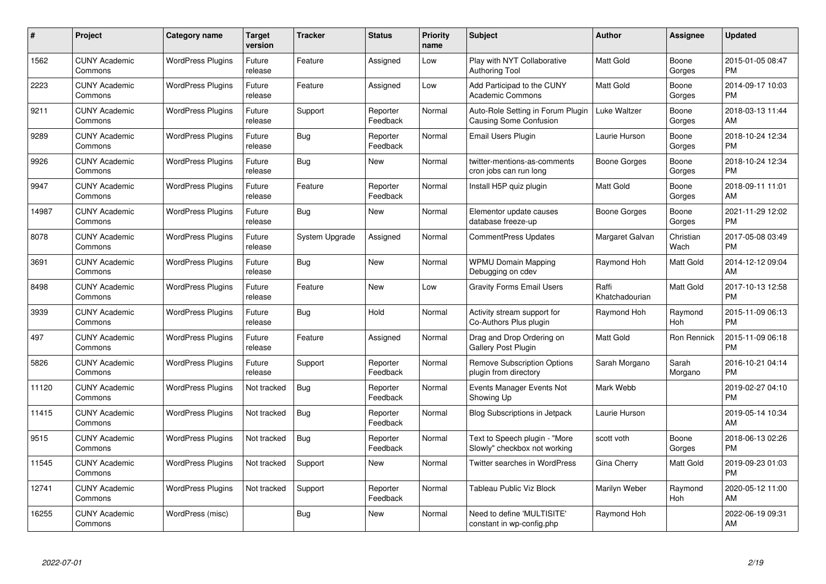| #     | Project                         | <b>Category name</b>     | Target<br>version | <b>Tracker</b> | <b>Status</b>        | <b>Priority</b><br>name | <b>Subject</b>                                                | <b>Author</b>           | Assignee          | <b>Updated</b>                |
|-------|---------------------------------|--------------------------|-------------------|----------------|----------------------|-------------------------|---------------------------------------------------------------|-------------------------|-------------------|-------------------------------|
| 1562  | <b>CUNY Academic</b><br>Commons | <b>WordPress Plugins</b> | Future<br>release | Feature        | Assigned             | Low                     | Play with NYT Collaborative<br><b>Authoring Tool</b>          | <b>Matt Gold</b>        | Boone<br>Gorges   | 2015-01-05 08:47<br><b>PM</b> |
| 2223  | <b>CUNY Academic</b><br>Commons | <b>WordPress Plugins</b> | Future<br>release | Feature        | Assigned             | Low                     | Add Participad to the CUNY<br><b>Academic Commons</b>         | Matt Gold               | Boone<br>Gorges   | 2014-09-17 10:03<br><b>PM</b> |
| 9211  | <b>CUNY Academic</b><br>Commons | <b>WordPress Plugins</b> | Future<br>release | Support        | Reporter<br>Feedback | Normal                  | Auto-Role Setting in Forum Plugin<br>Causing Some Confusion   | Luke Waltzer            | Boone<br>Gorges   | 2018-03-13 11:44<br>AM        |
| 9289  | <b>CUNY Academic</b><br>Commons | <b>WordPress Plugins</b> | Future<br>release | Bug            | Reporter<br>Feedback | Normal                  | Email Users Plugin                                            | Laurie Hurson           | Boone<br>Gorges   | 2018-10-24 12:34<br><b>PM</b> |
| 9926  | <b>CUNY Academic</b><br>Commons | <b>WordPress Plugins</b> | Future<br>release | <b>Bug</b>     | <b>New</b>           | Normal                  | twitter-mentions-as-comments<br>cron jobs can run long        | Boone Gorges            | Boone<br>Gorges   | 2018-10-24 12:34<br><b>PM</b> |
| 9947  | <b>CUNY Academic</b><br>Commons | <b>WordPress Plugins</b> | Future<br>release | Feature        | Reporter<br>Feedback | Normal                  | Install H5P quiz plugin                                       | Matt Gold               | Boone<br>Gorges   | 2018-09-11 11:01<br>AM        |
| 14987 | <b>CUNY Academic</b><br>Commons | <b>WordPress Plugins</b> | Future<br>release | <b>Bug</b>     | <b>New</b>           | Normal                  | Elementor update causes<br>database freeze-up                 | Boone Gorges            | Boone<br>Gorges   | 2021-11-29 12:02<br><b>PM</b> |
| 8078  | <b>CUNY Academic</b><br>Commons | <b>WordPress Plugins</b> | Future<br>release | System Upgrade | Assigned             | Normal                  | <b>CommentPress Updates</b>                                   | Margaret Galvan         | Christian<br>Wach | 2017-05-08 03:49<br><b>PM</b> |
| 3691  | <b>CUNY Academic</b><br>Commons | <b>WordPress Plugins</b> | Future<br>release | <b>Bug</b>     | <b>New</b>           | Normal                  | <b>WPMU Domain Mapping</b><br>Debugging on cdev               | Raymond Hoh             | Matt Gold         | 2014-12-12 09:04<br>AM        |
| 8498  | <b>CUNY Academic</b><br>Commons | <b>WordPress Plugins</b> | Future<br>release | Feature        | <b>New</b>           | Low                     | <b>Gravity Forms Email Users</b>                              | Raffi<br>Khatchadourian | Matt Gold         | 2017-10-13 12:58<br><b>PM</b> |
| 3939  | <b>CUNY Academic</b><br>Commons | <b>WordPress Plugins</b> | Future<br>release | Bug            | Hold                 | Normal                  | Activity stream support for<br>Co-Authors Plus plugin         | Raymond Hoh             | Raymond<br>Hoh    | 2015-11-09 06:13<br><b>PM</b> |
| 497   | <b>CUNY Academic</b><br>Commons | <b>WordPress Plugins</b> | Future<br>release | Feature        | Assigned             | Normal                  | Drag and Drop Ordering on<br>Gallery Post Plugin              | Matt Gold               | Ron Rennick       | 2015-11-09 06:18<br><b>PM</b> |
| 5826  | <b>CUNY Academic</b><br>Commons | <b>WordPress Plugins</b> | Future<br>release | Support        | Reporter<br>Feedback | Normal                  | <b>Remove Subscription Options</b><br>plugin from directory   | Sarah Morgano           | Sarah<br>Morgano  | 2016-10-21 04:14<br>PM        |
| 11120 | <b>CUNY Academic</b><br>Commons | <b>WordPress Plugins</b> | Not tracked       | Bug            | Reporter<br>Feedback | Normal                  | Events Manager Events Not<br>Showing Up                       | Mark Webb               |                   | 2019-02-27 04:10<br><b>PM</b> |
| 11415 | <b>CUNY Academic</b><br>Commons | <b>WordPress Plugins</b> | Not tracked       | <b>Bug</b>     | Reporter<br>Feedback | Normal                  | Blog Subscriptions in Jetpack                                 | Laurie Hurson           |                   | 2019-05-14 10:34<br>AM        |
| 9515  | <b>CUNY Academic</b><br>Commons | <b>WordPress Plugins</b> | Not tracked       | <b>Bug</b>     | Reporter<br>Feedback | Normal                  | Text to Speech plugin - "More<br>Slowly" checkbox not working | scott voth              | Boone<br>Gorges   | 2018-06-13 02:26<br><b>PM</b> |
| 11545 | <b>CUNY Academic</b><br>Commons | <b>WordPress Plugins</b> | Not tracked       | Support        | New                  | Normal                  | Twitter searches in WordPress                                 | Gina Cherry             | <b>Matt Gold</b>  | 2019-09-23 01:03<br><b>PM</b> |
| 12741 | <b>CUNY Academic</b><br>Commons | <b>WordPress Plugins</b> | Not tracked       | Support        | Reporter<br>Feedback | Normal                  | <b>Tableau Public Viz Block</b>                               | Marilyn Weber           | Raymond<br>Hoh    | 2020-05-12 11:00<br>AM        |
| 16255 | <b>CUNY Academic</b><br>Commons | WordPress (misc)         |                   | Bug            | New                  | Normal                  | Need to define 'MULTISITE'<br>constant in wp-config.php       | Raymond Hoh             |                   | 2022-06-19 09:31<br>AM        |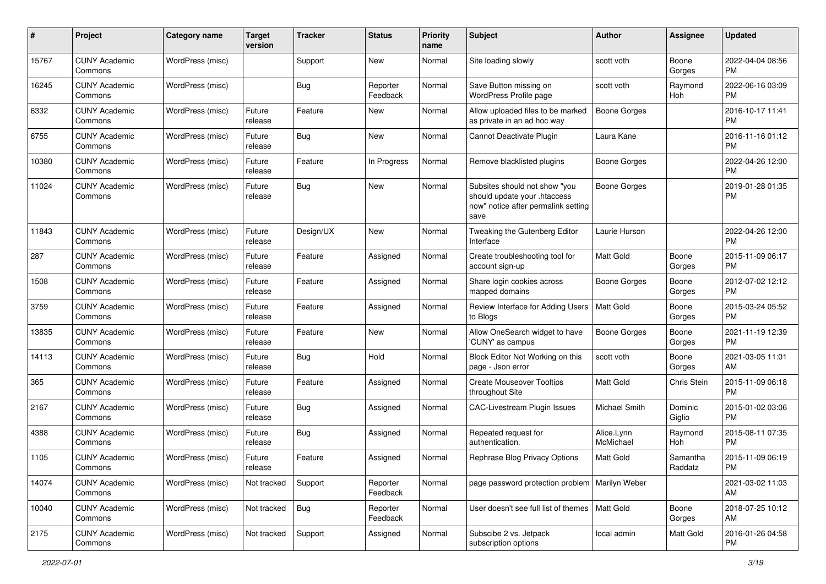| #     | Project                         | <b>Category name</b> | <b>Target</b><br>version | <b>Tracker</b> | <b>Status</b>        | <b>Priority</b><br>name | Subject                                                                                                      | Author                  | Assignee            | <b>Updated</b>                |
|-------|---------------------------------|----------------------|--------------------------|----------------|----------------------|-------------------------|--------------------------------------------------------------------------------------------------------------|-------------------------|---------------------|-------------------------------|
| 15767 | <b>CUNY Academic</b><br>Commons | WordPress (misc)     |                          | Support        | New                  | Normal                  | Site loading slowly                                                                                          | scott voth              | Boone<br>Gorges     | 2022-04-04 08:56<br><b>PM</b> |
| 16245 | <b>CUNY Academic</b><br>Commons | WordPress (misc)     |                          | Bug            | Reporter<br>Feedback | Normal                  | Save Button missing on<br>WordPress Profile page                                                             | scott voth              | Raymond<br>Hoh      | 2022-06-16 03:09<br><b>PM</b> |
| 6332  | <b>CUNY Academic</b><br>Commons | WordPress (misc)     | Future<br>release        | Feature        | New                  | Normal                  | Allow uploaded files to be marked<br>as private in an ad hoc way                                             | Boone Gorges            |                     | 2016-10-17 11:41<br><b>PM</b> |
| 6755  | <b>CUNY Academic</b><br>Commons | WordPress (misc)     | Future<br>release        | Bug            | New                  | Normal                  | Cannot Deactivate Plugin                                                                                     | Laura Kane              |                     | 2016-11-16 01:12<br><b>PM</b> |
| 10380 | <b>CUNY Academic</b><br>Commons | WordPress (misc)     | Future<br>release        | Feature        | In Progress          | Normal                  | Remove blacklisted plugins                                                                                   | Boone Gorges            |                     | 2022-04-26 12:00<br><b>PM</b> |
| 11024 | <b>CUNY Academic</b><br>Commons | WordPress (misc)     | Future<br>release        | Bug            | New                  | Normal                  | Subsites should not show "you<br>should update your .htaccess<br>now" notice after permalink setting<br>save | <b>Boone Gorges</b>     |                     | 2019-01-28 01:35<br><b>PM</b> |
| 11843 | <b>CUNY Academic</b><br>Commons | WordPress (misc)     | Future<br>release        | Design/UX      | New                  | Normal                  | Tweaking the Gutenberg Editor<br>Interface                                                                   | Laurie Hurson           |                     | 2022-04-26 12:00<br><b>PM</b> |
| 287   | <b>CUNY Academic</b><br>Commons | WordPress (misc)     | Future<br>release        | Feature        | Assigned             | Normal                  | Create troubleshooting tool for<br>account sign-up                                                           | Matt Gold               | Boone<br>Gorges     | 2015-11-09 06:17<br><b>PM</b> |
| 1508  | <b>CUNY Academic</b><br>Commons | WordPress (misc)     | Future<br>release        | Feature        | Assigned             | Normal                  | Share login cookies across<br>mapped domains                                                                 | Boone Gorges            | Boone<br>Gorges     | 2012-07-02 12:12<br><b>PM</b> |
| 3759  | <b>CUNY Academic</b><br>Commons | WordPress (misc)     | Future<br>release        | Feature        | Assigned             | Normal                  | Review Interface for Adding Users<br>to Blogs                                                                | <b>Matt Gold</b>        | Boone<br>Gorges     | 2015-03-24 05:52<br><b>PM</b> |
| 13835 | <b>CUNY Academic</b><br>Commons | WordPress (misc)     | Future<br>release        | Feature        | New                  | Normal                  | Allow OneSearch widget to have<br>'CUNY' as campus                                                           | <b>Boone Gorges</b>     | Boone<br>Gorges     | 2021-11-19 12:39<br><b>PM</b> |
| 14113 | <b>CUNY Academic</b><br>Commons | WordPress (misc)     | Future<br>release        | Bug            | Hold                 | Normal                  | Block Editor Not Working on this<br>page - Json error                                                        | scott voth              | Boone<br>Gorges     | 2021-03-05 11:01<br>AM        |
| 365   | <b>CUNY Academic</b><br>Commons | WordPress (misc)     | Future<br>release        | Feature        | Assigned             | Normal                  | <b>Create Mouseover Tooltips</b><br>throughout Site                                                          | Matt Gold               | Chris Stein         | 2015-11-09 06:18<br><b>PM</b> |
| 2167  | <b>CUNY Academic</b><br>Commons | WordPress (misc)     | Future<br>release        | <b>Bug</b>     | Assigned             | Normal                  | CAC-Livestream Plugin Issues                                                                                 | Michael Smith           | Dominic<br>Giglio   | 2015-01-02 03:06<br><b>PM</b> |
| 4388  | <b>CUNY Academic</b><br>Commons | WordPress (misc)     | Future<br>release        | Bug            | Assigned             | Normal                  | Repeated request for<br>authentication.                                                                      | Alice.Lynn<br>McMichael | Raymond<br>Hoh      | 2015-08-11 07:35<br><b>PM</b> |
| 1105  | <b>CUNY Academic</b><br>Commons | WordPress (misc)     | Future<br>release        | Feature        | Assigned             | Normal                  | Rephrase Blog Privacy Options                                                                                | Matt Gold               | Samantha<br>Raddatz | 2015-11-09 06:19<br>PM        |
| 14074 | <b>CUNY Academic</b><br>Commons | WordPress (misc)     | Not tracked              | Support        | Reporter<br>Feedback | Normal                  | page password protection problem   Marilyn Weber                                                             |                         |                     | 2021-03-02 11:03<br>AM        |
| 10040 | <b>CUNY Academic</b><br>Commons | WordPress (misc)     | Not tracked              | <b>Bug</b>     | Reporter<br>Feedback | Normal                  | User doesn't see full list of themes   Matt Gold                                                             |                         | Boone<br>Gorges     | 2018-07-25 10:12<br>AM        |
| 2175  | <b>CUNY Academic</b><br>Commons | WordPress (misc)     | Not tracked              | Support        | Assigned             | Normal                  | Subscibe 2 vs. Jetpack<br>subscription options                                                               | local admin             | Matt Gold           | 2016-01-26 04:58<br><b>PM</b> |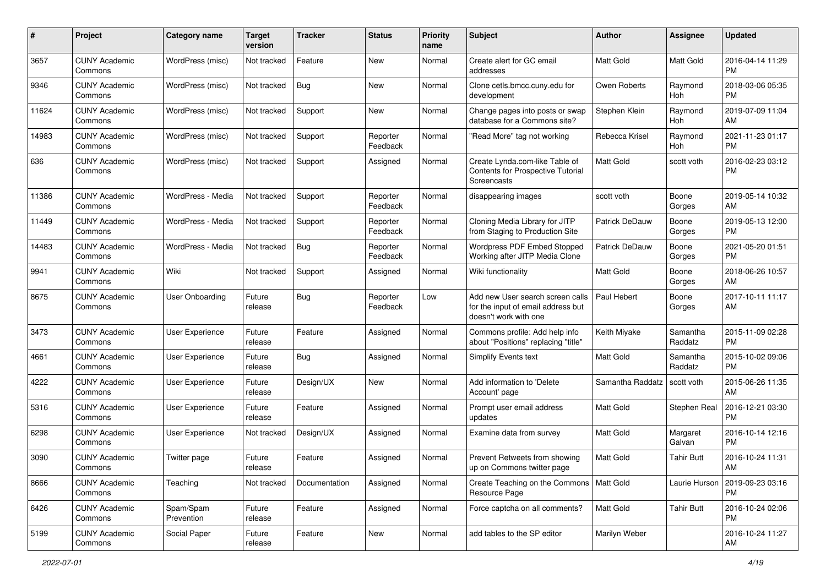| #     | Project                         | <b>Category name</b>    | <b>Target</b><br>version | <b>Tracker</b> | <b>Status</b>        | <b>Priority</b><br>name | Subject                                                                                         | Author                | Assignee            | <b>Updated</b>                |
|-------|---------------------------------|-------------------------|--------------------------|----------------|----------------------|-------------------------|-------------------------------------------------------------------------------------------------|-----------------------|---------------------|-------------------------------|
| 3657  | <b>CUNY Academic</b><br>Commons | WordPress (misc)        | Not tracked              | Feature        | <b>New</b>           | Normal                  | Create alert for GC email<br>addresses                                                          | <b>Matt Gold</b>      | Matt Gold           | 2016-04-14 11:29<br><b>PM</b> |
| 9346  | <b>CUNY Academic</b><br>Commons | WordPress (misc)        | Not tracked              | Bug            | New                  | Normal                  | Clone cetls.bmcc.cuny.edu for<br>development                                                    | Owen Roberts          | Raymond<br>Hoh      | 2018-03-06 05:35<br><b>PM</b> |
| 11624 | CUNY Academic<br>Commons        | WordPress (misc)        | Not tracked              | Support        | New                  | Normal                  | Change pages into posts or swap<br>database for a Commons site?                                 | Stephen Klein         | Raymond<br>Hoh      | 2019-07-09 11:04<br>AM        |
| 14983 | <b>CUNY Academic</b><br>Commons | WordPress (misc)        | Not tracked              | Support        | Reporter<br>Feedback | Normal                  | "Read More" tag not working                                                                     | Rebecca Krisel        | Raymond<br>Hoh      | 2021-11-23 01:17<br><b>PM</b> |
| 636   | <b>CUNY Academic</b><br>Commons | WordPress (misc)        | Not tracked              | Support        | Assigned             | Normal                  | Create Lynda.com-like Table of<br>Contents for Prospective Tutorial<br>Screencasts              | Matt Gold             | scott voth          | 2016-02-23 03:12<br><b>PM</b> |
| 11386 | <b>CUNY Academic</b><br>Commons | WordPress - Media       | Not tracked              | Support        | Reporter<br>Feedback | Normal                  | disappearing images                                                                             | scott voth            | Boone<br>Gorges     | 2019-05-14 10:32<br>AM        |
| 11449 | <b>CUNY Academic</b><br>Commons | WordPress - Media       | Not tracked              | Support        | Reporter<br>Feedback | Normal                  | Cloning Media Library for JITP<br>from Staging to Production Site                               | <b>Patrick DeDauw</b> | Boone<br>Gorges     | 2019-05-13 12:00<br><b>PM</b> |
| 14483 | <b>CUNY Academic</b><br>Commons | WordPress - Media       | Not tracked              | <b>Bug</b>     | Reporter<br>Feedback | Normal                  | Wordpress PDF Embed Stopped<br>Working after JITP Media Clone                                   | Patrick DeDauw        | Boone<br>Gorges     | 2021-05-20 01:51<br><b>PM</b> |
| 9941  | <b>CUNY Academic</b><br>Commons | Wiki                    | Not tracked              | Support        | Assigned             | Normal                  | Wiki functionality                                                                              | <b>Matt Gold</b>      | Boone<br>Gorges     | 2018-06-26 10:57<br>AM        |
| 8675  | <b>CUNY Academic</b><br>Commons | User Onboarding         | Future<br>release        | Bug            | Reporter<br>Feedback | Low                     | Add new User search screen calls<br>for the input of email address but<br>doesn't work with one | Paul Hebert           | Boone<br>Gorges     | 2017-10-11 11:17<br>AM        |
| 3473  | <b>CUNY Academic</b><br>Commons | User Experience         | Future<br>release        | Feature        | Assigned             | Normal                  | Commons profile: Add help info<br>about "Positions" replacing "title"                           | Keith Miyake          | Samantha<br>Raddatz | 2015-11-09 02:28<br><b>PM</b> |
| 4661  | <b>CUNY Academic</b><br>Commons | <b>User Experience</b>  | Future<br>release        | Bug            | Assigned             | Normal                  | <b>Simplify Events text</b>                                                                     | Matt Gold             | Samantha<br>Raddatz | 2015-10-02 09:06<br><b>PM</b> |
| 4222  | <b>CUNY Academic</b><br>Commons | <b>User Experience</b>  | Future<br>release        | Design/UX      | <b>New</b>           | Normal                  | Add information to 'Delete<br>Account' page                                                     | Samantha Raddatz      | scott voth          | 2015-06-26 11:35<br>AM        |
| 5316  | <b>CUNY Academic</b><br>Commons | User Experience         | Future<br>release        | Feature        | Assigned             | Normal                  | Prompt user email address<br>updates                                                            | <b>Matt Gold</b>      | Stephen Real        | 2016-12-21 03:30<br><b>PM</b> |
| 6298  | <b>CUNY Academic</b><br>Commons | User Experience         | Not tracked              | Design/UX      | Assigned             | Normal                  | Examine data from survey                                                                        | <b>Matt Gold</b>      | Margaret<br>Galvan  | 2016-10-14 12:16<br><b>PM</b> |
| 3090  | CUNY Academic<br>Commons        | Twitter page            | Future<br>release        | Feature        | Assigned             | Normal                  | Prevent Retweets from showing<br>up on Commons twitter page                                     | Matt Gold             | <b>Tahir Butt</b>   | 2016-10-24 11:31<br>AM        |
| 8666  | <b>CUNY Academic</b><br>Commons | Teaching                | Not tracked              | Documentation  | Assigned             | Normal                  | Create Teaching on the Commons   Matt Gold<br>Resource Page                                     |                       | Laurie Hurson       | 2019-09-23 03:16<br><b>PM</b> |
| 6426  | <b>CUNY Academic</b><br>Commons | Spam/Spam<br>Prevention | Future<br>release        | Feature        | Assigned             | Normal                  | Force captcha on all comments?                                                                  | <b>Matt Gold</b>      | <b>Tahir Butt</b>   | 2016-10-24 02:06<br><b>PM</b> |
| 5199  | <b>CUNY Academic</b><br>Commons | Social Paper            | Future<br>release        | Feature        | New                  | Normal                  | add tables to the SP editor                                                                     | Marilyn Weber         |                     | 2016-10-24 11:27<br>AM        |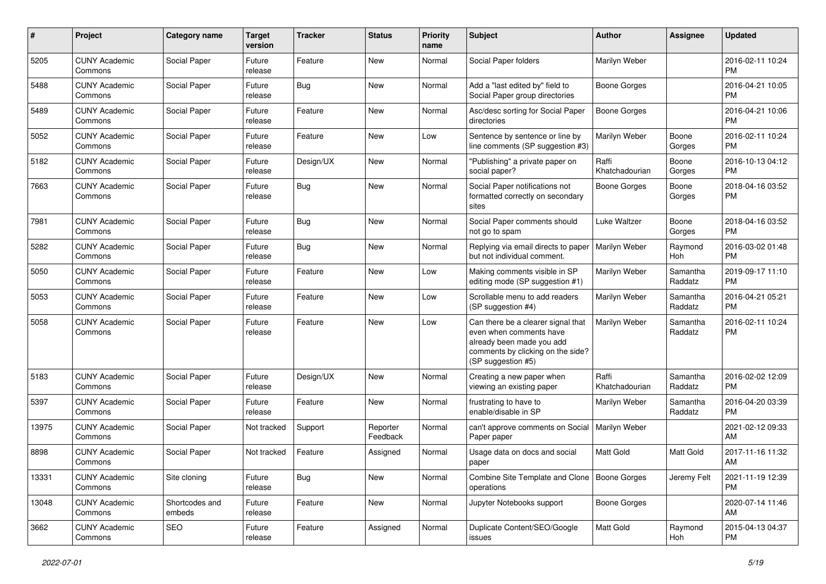| #     | Project                         | <b>Category name</b>     | <b>Target</b><br>version | <b>Tracker</b> | <b>Status</b>        | <b>Priority</b><br>name | Subject                                                                                                                                               | Author                  | <b>Assignee</b>     | <b>Updated</b>                |
|-------|---------------------------------|--------------------------|--------------------------|----------------|----------------------|-------------------------|-------------------------------------------------------------------------------------------------------------------------------------------------------|-------------------------|---------------------|-------------------------------|
| 5205  | <b>CUNY Academic</b><br>Commons | Social Paper             | Future<br>release        | Feature        | <b>New</b>           | Normal                  | Social Paper folders                                                                                                                                  | Marilyn Weber           |                     | 2016-02-11 10:24<br><b>PM</b> |
| 5488  | <b>CUNY Academic</b><br>Commons | Social Paper             | Future<br>release        | Bug            | New                  | Normal                  | Add a "last edited by" field to<br>Social Paper group directories                                                                                     | <b>Boone Gorges</b>     |                     | 2016-04-21 10:05<br><b>PM</b> |
| 5489  | <b>CUNY Academic</b><br>Commons | Social Paper             | Future<br>release        | Feature        | <b>New</b>           | Normal                  | Asc/desc sorting for Social Paper<br>directories                                                                                                      | <b>Boone Gorges</b>     |                     | 2016-04-21 10:06<br><b>PM</b> |
| 5052  | <b>CUNY Academic</b><br>Commons | Social Paper             | Future<br>release        | Feature        | <b>New</b>           | Low                     | Sentence by sentence or line by<br>line comments (SP suggestion #3)                                                                                   | Marilyn Weber           | Boone<br>Gorges     | 2016-02-11 10:24<br><b>PM</b> |
| 5182  | <b>CUNY Academic</b><br>Commons | Social Paper             | Future<br>release        | Design/UX      | <b>New</b>           | Normal                  | "Publishing" a private paper on<br>social paper?                                                                                                      | Raffi<br>Khatchadourian | Boone<br>Gorges     | 2016-10-13 04:12<br><b>PM</b> |
| 7663  | <b>CUNY Academic</b><br>Commons | Social Paper             | Future<br>release        | Bug            | <b>New</b>           | Normal                  | Social Paper notifications not<br>formatted correctly on secondary<br>sites                                                                           | <b>Boone Gorges</b>     | Boone<br>Gorges     | 2018-04-16 03:52<br><b>PM</b> |
| 7981  | <b>CUNY Academic</b><br>Commons | Social Paper             | Future<br>release        | Bug            | New                  | Normal                  | Social Paper comments should<br>not go to spam                                                                                                        | Luke Waltzer            | Boone<br>Gorges     | 2018-04-16 03:52<br><b>PM</b> |
| 5282  | <b>CUNY Academic</b><br>Commons | Social Paper             | Future<br>release        | Bug            | <b>New</b>           | Normal                  | Replying via email directs to paper<br>but not individual comment.                                                                                    | Marilyn Weber           | Raymond<br>Hoh      | 2016-03-02 01:48<br><b>PM</b> |
| 5050  | <b>CUNY Academic</b><br>Commons | Social Paper             | Future<br>release        | Feature        | <b>New</b>           | Low                     | Making comments visible in SP<br>editing mode (SP suggestion #1)                                                                                      | Marilyn Weber           | Samantha<br>Raddatz | 2019-09-17 11:10<br><b>PM</b> |
| 5053  | <b>CUNY Academic</b><br>Commons | Social Paper             | Future<br>release        | Feature        | New                  | Low                     | Scrollable menu to add readers<br>(SP suggestion #4)                                                                                                  | Marilyn Weber           | Samantha<br>Raddatz | 2016-04-21 05:21<br><b>PM</b> |
| 5058  | <b>CUNY Academic</b><br>Commons | Social Paper             | Future<br>release        | Feature        | <b>New</b>           | Low                     | Can there be a clearer signal that<br>even when comments have<br>already been made you add<br>comments by clicking on the side?<br>(SP suggestion #5) | Marilyn Weber           | Samantha<br>Raddatz | 2016-02-11 10:24<br><b>PM</b> |
| 5183  | <b>CUNY Academic</b><br>Commons | Social Paper             | Future<br>release        | Design/UX      | <b>New</b>           | Normal                  | Creating a new paper when<br>viewing an existing paper                                                                                                | Raffi<br>Khatchadourian | Samantha<br>Raddatz | 2016-02-02 12:09<br><b>PM</b> |
| 5397  | <b>CUNY Academic</b><br>Commons | Social Paper             | Future<br>release        | Feature        | <b>New</b>           | Normal                  | frustrating to have to<br>enable/disable in SP                                                                                                        | Marilyn Weber           | Samantha<br>Raddatz | 2016-04-20 03:39<br><b>PM</b> |
| 13975 | <b>CUNY Academic</b><br>Commons | Social Paper             | Not tracked              | Support        | Reporter<br>Feedback | Normal                  | can't approve comments on Social<br>Paper paper                                                                                                       | Marilyn Weber           |                     | 2021-02-12 09:33<br>AM        |
| 8898  | <b>CUNY Academic</b><br>Commons | Social Paper             | Not tracked              | Feature        | Assigned             | Normal                  | Usage data on docs and social<br>paper                                                                                                                | <b>Matt Gold</b>        | Matt Gold           | 2017-11-16 11:32<br>AM        |
| 13331 | <b>CUNY Academic</b><br>Commons | Site cloning             | Future<br>release        | <b>Bug</b>     | New                  | Normal                  | Combine Site Template and Clone   Boone Gorges<br>operations                                                                                          |                         | Jeremy Felt         | 2021-11-19 12:39<br><b>PM</b> |
| 13048 | <b>CUNY Academic</b><br>Commons | Shortcodes and<br>embeds | Future<br>release        | Feature        | New                  | Normal                  | Jupyter Notebooks support                                                                                                                             | <b>Boone Gorges</b>     |                     | 2020-07-14 11:46<br>AM        |
| 3662  | <b>CUNY Academic</b><br>Commons | SEO                      | Future<br>release        | Feature        | Assigned             | Normal                  | Duplicate Content/SEO/Google<br>issues                                                                                                                | Matt Gold               | Raymond<br>Hoh      | 2015-04-13 04:37<br><b>PM</b> |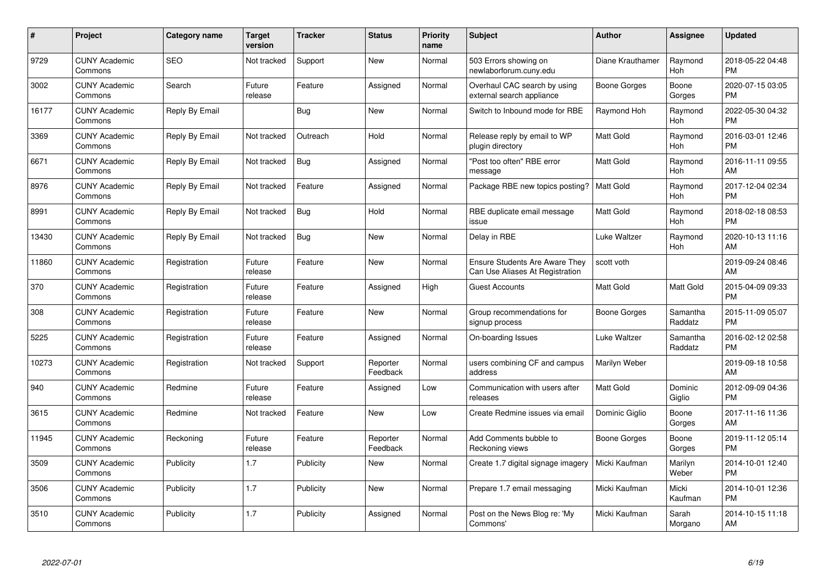| $\#$  | Project                         | <b>Category name</b> | <b>Target</b><br>version | <b>Tracker</b> | <b>Status</b>        | Priority<br>name | <b>Subject</b>                                                           | <b>Author</b>    | <b>Assignee</b>     | <b>Updated</b>                |
|-------|---------------------------------|----------------------|--------------------------|----------------|----------------------|------------------|--------------------------------------------------------------------------|------------------|---------------------|-------------------------------|
| 9729  | <b>CUNY Academic</b><br>Commons | <b>SEO</b>           | Not tracked              | Support        | <b>New</b>           | Normal           | 503 Errors showing on<br>newlaborforum.cuny.edu                          | Diane Krauthamer | Raymond<br>Hoh      | 2018-05-22 04:48<br><b>PM</b> |
| 3002  | <b>CUNY Academic</b><br>Commons | Search               | Future<br>release        | Feature        | Assigned             | Normal           | Overhaul CAC search by using<br>external search appliance                | Boone Gorges     | Boone<br>Gorges     | 2020-07-15 03:05<br><b>PM</b> |
| 16177 | <b>CUNY Academic</b><br>Commons | Reply By Email       |                          | <b>Bug</b>     | <b>New</b>           | Normal           | Switch to Inbound mode for RBE                                           | Raymond Hoh      | Raymond<br>Hoh      | 2022-05-30 04:32<br><b>PM</b> |
| 3369  | <b>CUNY Academic</b><br>Commons | Reply By Email       | Not tracked              | Outreach       | Hold                 | Normal           | Release reply by email to WP<br>plugin directory                         | <b>Matt Gold</b> | Raymond<br>Hoh      | 2016-03-01 12:46<br><b>PM</b> |
| 6671  | <b>CUNY Academic</b><br>Commons | Reply By Email       | Not tracked              | Bug            | Assigned             | Normal           | "Post too often" RBE error<br>message                                    | <b>Matt Gold</b> | Raymond<br>Hoh      | 2016-11-11 09:55<br>AM        |
| 8976  | <b>CUNY Academic</b><br>Commons | Reply By Email       | Not tracked              | Feature        | Assigned             | Normal           | Package RBE new topics posting?                                          | <b>Matt Gold</b> | Raymond<br>Hoh      | 2017-12-04 02:34<br><b>PM</b> |
| 8991  | <b>CUNY Academic</b><br>Commons | Reply By Email       | Not tracked              | Bug            | Hold                 | Normal           | RBE duplicate email message<br>issue                                     | Matt Gold        | Raymond<br>Hoh      | 2018-02-18 08:53<br><b>PM</b> |
| 13430 | <b>CUNY Academic</b><br>Commons | Reply By Email       | Not tracked              | <b>Bug</b>     | <b>New</b>           | Normal           | Delay in RBE                                                             | Luke Waltzer     | Raymond<br>Hoh      | 2020-10-13 11:16<br>AM        |
| 11860 | <b>CUNY Academic</b><br>Commons | Registration         | Future<br>release        | Feature        | New                  | Normal           | <b>Ensure Students Are Aware They</b><br>Can Use Aliases At Registration | scott voth       |                     | 2019-09-24 08:46<br>AM        |
| 370   | <b>CUNY Academic</b><br>Commons | Registration         | Future<br>release        | Feature        | Assigned             | High             | <b>Guest Accounts</b>                                                    | <b>Matt Gold</b> | Matt Gold           | 2015-04-09 09:33<br><b>PM</b> |
| 308   | <b>CUNY Academic</b><br>Commons | Registration         | Future<br>release        | Feature        | New                  | Normal           | Group recommendations for<br>signup process                              | Boone Gorges     | Samantha<br>Raddatz | 2015-11-09 05:07<br><b>PM</b> |
| 5225  | <b>CUNY Academic</b><br>Commons | Registration         | Future<br>release        | Feature        | Assigned             | Normal           | On-boarding Issues                                                       | Luke Waltzer     | Samantha<br>Raddatz | 2016-02-12 02:58<br><b>PM</b> |
| 10273 | <b>CUNY Academic</b><br>Commons | Registration         | Not tracked              | Support        | Reporter<br>Feedback | Normal           | users combining CF and campus<br>address                                 | Marilyn Weber    |                     | 2019-09-18 10:58<br>AM        |
| 940   | <b>CUNY Academic</b><br>Commons | Redmine              | Future<br>release        | Feature        | Assigned             | Low              | Communication with users after<br>releases                               | Matt Gold        | Dominic<br>Giglio   | 2012-09-09 04:36<br><b>PM</b> |
| 3615  | <b>CUNY Academic</b><br>Commons | Redmine              | Not tracked              | Feature        | <b>New</b>           | Low              | Create Redmine issues via email                                          | Dominic Giglio   | Boone<br>Gorges     | 2017-11-16 11:36<br>AM        |
| 11945 | <b>CUNY Academic</b><br>Commons | Reckoning            | Future<br>release        | Feature        | Reporter<br>Feedback | Normal           | Add Comments bubble to<br>Reckoning views                                | Boone Gorges     | Boone<br>Gorges     | 2019-11-12 05:14<br><b>PM</b> |
| 3509  | <b>CUNY Academic</b><br>Commons | Publicity            | 1.7                      | Publicity      | New                  | Normal           | Create 1.7 digital signage imagery                                       | Micki Kaufman    | Marilyn<br>Weber    | 2014-10-01 12:40<br><b>PM</b> |
| 3506  | <b>CUNY Academic</b><br>Commons | Publicity            | 1.7                      | Publicity      | New                  | Normal           | Prepare 1.7 email messaging                                              | Micki Kaufman    | Micki<br>Kaufman    | 2014-10-01 12:36<br><b>PM</b> |
| 3510  | CUNY Academic<br>Commons        | Publicity            | 1.7                      | Publicity      | Assigned             | Normal           | Post on the News Blog re: 'My<br>Commons'                                | Micki Kaufman    | Sarah<br>Morgano    | 2014-10-15 11:18<br>AM        |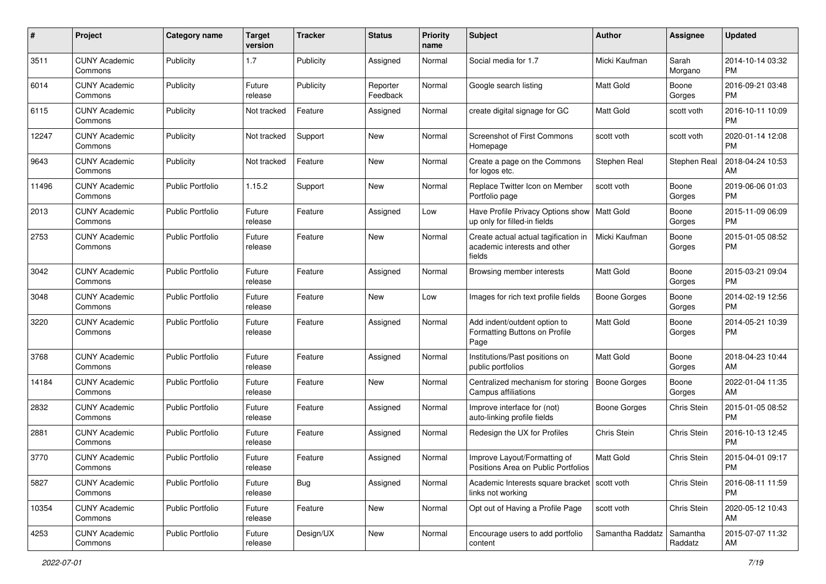| #     | Project                         | <b>Category name</b>    | <b>Target</b><br>version | <b>Tracker</b> | <b>Status</b>        | <b>Priority</b><br>name | Subject                                                                        | Author              | <b>Assignee</b>     | <b>Updated</b>                |
|-------|---------------------------------|-------------------------|--------------------------|----------------|----------------------|-------------------------|--------------------------------------------------------------------------------|---------------------|---------------------|-------------------------------|
| 3511  | <b>CUNY Academic</b><br>Commons | Publicity               | 1.7                      | Publicity      | Assigned             | Normal                  | Social media for 1.7                                                           | Micki Kaufman       | Sarah<br>Morgano    | 2014-10-14 03:32<br>PM.       |
| 6014  | <b>CUNY Academic</b><br>Commons | Publicity               | Future<br>release        | Publicity      | Reporter<br>Feedback | Normal                  | Google search listing                                                          | Matt Gold           | Boone<br>Gorges     | 2016-09-21 03:48<br><b>PM</b> |
| 6115  | <b>CUNY Academic</b><br>Commons | Publicity               | Not tracked              | Feature        | Assigned             | Normal                  | create digital signage for GC                                                  | <b>Matt Gold</b>    | scott voth          | 2016-10-11 10:09<br><b>PM</b> |
| 12247 | <b>CUNY Academic</b><br>Commons | Publicity               | Not tracked              | Support        | New                  | Normal                  | <b>Screenshot of First Commons</b><br>Homepage                                 | scott voth          | scott voth          | 2020-01-14 12:08<br>PM.       |
| 9643  | <b>CUNY Academic</b><br>Commons | Publicity               | Not tracked              | Feature        | New                  | Normal                  | Create a page on the Commons<br>for logos etc.                                 | Stephen Real        | <b>Stephen Real</b> | 2018-04-24 10:53<br>AM        |
| 11496 | <b>CUNY Academic</b><br>Commons | <b>Public Portfolio</b> | 1.15.2                   | Support        | New                  | Normal                  | Replace Twitter Icon on Member<br>Portfolio page                               | scott voth          | Boone<br>Gorges     | 2019-06-06 01:03<br>PM.       |
| 2013  | <b>CUNY Academic</b><br>Commons | <b>Public Portfolio</b> | Future<br>release        | Feature        | Assigned             | Low                     | Have Profile Privacy Options show<br>up only for filled-in fields              | Matt Gold           | Boone<br>Gorges     | 2015-11-09 06:09<br>PM.       |
| 2753  | <b>CUNY Academic</b><br>Commons | <b>Public Portfolio</b> | Future<br>release        | Feature        | New                  | Normal                  | Create actual actual tagification in<br>academic interests and other<br>fields | Micki Kaufman       | Boone<br>Gorges     | 2015-01-05 08:52<br>PM.       |
| 3042  | <b>CUNY Academic</b><br>Commons | <b>Public Portfolio</b> | Future<br>release        | Feature        | Assigned             | Normal                  | Browsing member interests                                                      | <b>Matt Gold</b>    | Boone<br>Gorges     | 2015-03-21 09:04<br>PM.       |
| 3048  | <b>CUNY Academic</b><br>Commons | <b>Public Portfolio</b> | Future<br>release        | Feature        | New                  | Low                     | Images for rich text profile fields                                            | <b>Boone Gorges</b> | Boone<br>Gorges     | 2014-02-19 12:56<br>PM.       |
| 3220  | <b>CUNY Academic</b><br>Commons | <b>Public Portfolio</b> | Future<br>release        | Feature        | Assigned             | Normal                  | Add indent/outdent option to<br>Formatting Buttons on Profile<br>Page          | Matt Gold           | Boone<br>Gorges     | 2014-05-21 10:39<br><b>PM</b> |
| 3768  | <b>CUNY Academic</b><br>Commons | <b>Public Portfolio</b> | Future<br>release        | Feature        | Assigned             | Normal                  | Institutions/Past positions on<br>public portfolios                            | <b>Matt Gold</b>    | Boone<br>Gorges     | 2018-04-23 10:44<br>AM        |
| 14184 | <b>CUNY Academic</b><br>Commons | <b>Public Portfolio</b> | Future<br>release        | Feature        | New                  | Normal                  | Centralized mechanism for storing<br>Campus affiliations                       | <b>Boone Gorges</b> | Boone<br>Gorges     | 2022-01-04 11:35<br>AM        |
| 2832  | <b>CUNY Academic</b><br>Commons | <b>Public Portfolio</b> | Future<br>release        | Feature        | Assigned             | Normal                  | Improve interface for (not)<br>auto-linking profile fields                     | Boone Gorges        | Chris Stein         | 2015-01-05 08:52<br><b>PM</b> |
| 2881  | <b>CUNY Academic</b><br>Commons | <b>Public Portfolio</b> | Future<br>release        | Feature        | Assigned             | Normal                  | Redesign the UX for Profiles                                                   | Chris Stein         | Chris Stein         | 2016-10-13 12:45<br><b>PM</b> |
| 3770  | <b>CUNY Academic</b><br>Commons | <b>Public Portfolio</b> | Future<br>release        | Feature        | Assigned             | Normal                  | Improve Layout/Formatting of<br>Positions Area on Public Portfolios            | <b>Matt Gold</b>    | Chris Stein         | 2015-04-01 09:17<br><b>PM</b> |
| 5827  | <b>CUNY Academic</b><br>Commons | <b>Public Portfolio</b> | Future<br>release        | Bug            | Assigned             | Normal                  | Academic Interests square bracket scott voth<br>links not working              |                     | Chris Stein         | 2016-08-11 11:59<br><b>PM</b> |
| 10354 | <b>CUNY Academic</b><br>Commons | <b>Public Portfolio</b> | Future<br>release        | Feature        | New                  | Normal                  | Opt out of Having a Profile Page                                               | scott voth          | Chris Stein         | 2020-05-12 10:43<br>AM        |
| 4253  | <b>CUNY Academic</b><br>Commons | Public Portfolio        | Future<br>release        | Design/UX      | New                  | Normal                  | Encourage users to add portfolio<br>content                                    | Samantha Raddatz    | Samantha<br>Raddatz | 2015-07-07 11:32<br>AM        |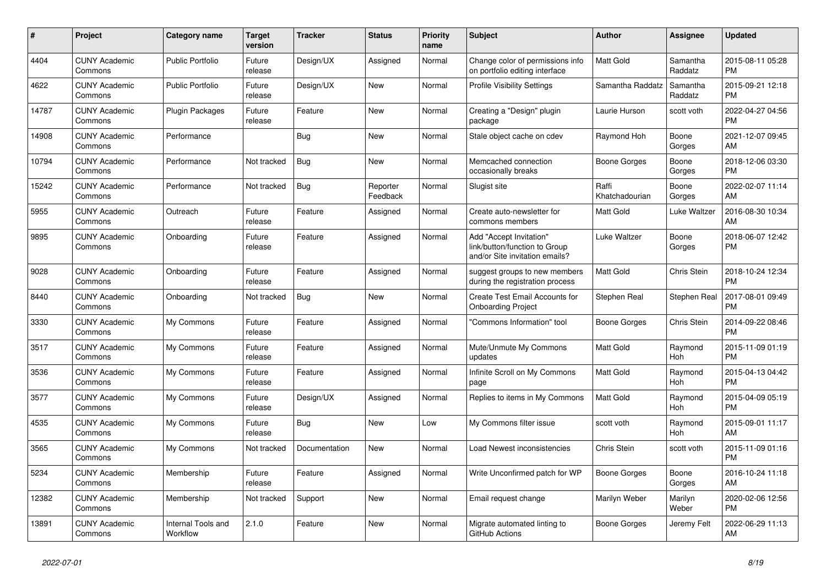| $\pmb{\#}$ | <b>Project</b>                  | <b>Category name</b>           | <b>Target</b><br>version | <b>Tracker</b> | <b>Status</b>        | <b>Priority</b><br>name | <b>Subject</b>                                                                             | <b>Author</b>           | Assignee            | <b>Updated</b>                |
|------------|---------------------------------|--------------------------------|--------------------------|----------------|----------------------|-------------------------|--------------------------------------------------------------------------------------------|-------------------------|---------------------|-------------------------------|
| 4404       | <b>CUNY Academic</b><br>Commons | <b>Public Portfolio</b>        | Future<br>release        | Design/UX      | Assigned             | Normal                  | Change color of permissions info<br>on portfolio editing interface                         | <b>Matt Gold</b>        | Samantha<br>Raddatz | 2015-08-11 05:28<br><b>PM</b> |
| 4622       | <b>CUNY Academic</b><br>Commons | Public Portfolio               | Future<br>release        | Design/UX      | New                  | Normal                  | <b>Profile Visibility Settings</b>                                                         | Samantha Raddatz        | Samantha<br>Raddatz | 2015-09-21 12:18<br><b>PM</b> |
| 14787      | <b>CUNY Academic</b><br>Commons | <b>Plugin Packages</b>         | Future<br>release        | Feature        | <b>New</b>           | Normal                  | Creating a "Design" plugin<br>package                                                      | Laurie Hurson           | scott voth          | 2022-04-27 04:56<br><b>PM</b> |
| 14908      | <b>CUNY Academic</b><br>Commons | Performance                    |                          | Bug            | New                  | Normal                  | Stale object cache on cdev                                                                 | Raymond Hoh             | Boone<br>Gorges     | 2021-12-07 09:45<br>AM        |
| 10794      | <b>CUNY Academic</b><br>Commons | Performance                    | Not tracked              | <b>Bug</b>     | New                  | Normal                  | Memcached connection<br>occasionally breaks                                                | <b>Boone Gorges</b>     | Boone<br>Gorges     | 2018-12-06 03:30<br><b>PM</b> |
| 15242      | <b>CUNY Academic</b><br>Commons | Performance                    | Not tracked              | Bug            | Reporter<br>Feedback | Normal                  | Slugist site                                                                               | Raffi<br>Khatchadourian | Boone<br>Gorges     | 2022-02-07 11:14<br>AM        |
| 5955       | <b>CUNY Academic</b><br>Commons | Outreach                       | Future<br>release        | Feature        | Assigned             | Normal                  | Create auto-newsletter for<br>commons members                                              | <b>Matt Gold</b>        | Luke Waltzer        | 2016-08-30 10:34<br>AM        |
| 9895       | <b>CUNY Academic</b><br>Commons | Onboarding                     | Future<br>release        | Feature        | Assigned             | Normal                  | Add "Accept Invitation"<br>link/button/function to Group<br>and/or Site invitation emails? | Luke Waltzer            | Boone<br>Gorges     | 2018-06-07 12:42<br><b>PM</b> |
| 9028       | <b>CUNY Academic</b><br>Commons | Onboarding                     | Future<br>release        | Feature        | Assigned             | Normal                  | suggest groups to new members<br>during the registration process                           | Matt Gold               | Chris Stein         | 2018-10-24 12:34<br><b>PM</b> |
| 8440       | <b>CUNY Academic</b><br>Commons | Onboarding                     | Not tracked              | Bug            | New                  | Normal                  | Create Test Email Accounts for<br><b>Onboarding Project</b>                                | Stephen Real            | Stephen Real        | 2017-08-01 09:49<br><b>PM</b> |
| 3330       | <b>CUNY Academic</b><br>Commons | My Commons                     | Future<br>release        | Feature        | Assigned             | Normal                  | "Commons Information" tool                                                                 | Boone Gorges            | Chris Stein         | 2014-09-22 08:46<br><b>PM</b> |
| 3517       | <b>CUNY Academic</b><br>Commons | My Commons                     | Future<br>release        | Feature        | Assigned             | Normal                  | Mute/Unmute My Commons<br>updates                                                          | <b>Matt Gold</b>        | Raymond<br>Hoh      | 2015-11-09 01:19<br><b>PM</b> |
| 3536       | <b>CUNY Academic</b><br>Commons | My Commons                     | Future<br>release        | Feature        | Assigned             | Normal                  | Infinite Scroll on My Commons<br>page                                                      | Matt Gold               | Raymond<br>Hoh      | 2015-04-13 04:42<br><b>PM</b> |
| 3577       | <b>CUNY Academic</b><br>Commons | My Commons                     | Future<br>release        | Design/UX      | Assigned             | Normal                  | Replies to items in My Commons                                                             | <b>Matt Gold</b>        | Raymond<br>Hoh      | 2015-04-09 05:19<br><b>PM</b> |
| 4535       | <b>CUNY Academic</b><br>Commons | My Commons                     | Future<br>release        | Bug            | <b>New</b>           | Low                     | My Commons filter issue                                                                    | scott voth              | Raymond<br>Hoh      | 2015-09-01 11:17<br>AM        |
| 3565       | <b>CUNY Academic</b><br>Commons | My Commons                     | Not tracked              | Documentation  | New                  | Normal                  | Load Newest inconsistencies                                                                | Chris Stein             | scott voth          | 2015-11-09 01:16<br><b>PM</b> |
| 5234       | <b>CUNY Academic</b><br>Commons | Membership                     | Future<br>release        | Feature        | Assigned             | Normal                  | Write Unconfirmed patch for WP                                                             | Boone Gorges            | Boone<br>Gorges     | 2016-10-24 11:18<br>AM        |
| 12382      | <b>CUNY Academic</b><br>Commons | Membership                     | Not tracked              | Support        | New                  | Normal                  | Email request change                                                                       | Marilyn Weber           | Marilyn<br>Weber    | 2020-02-06 12:56<br><b>PM</b> |
| 13891      | CUNY Academic<br>Commons        | Internal Tools and<br>Workflow | 2.1.0                    | Feature        | <b>New</b>           | Normal                  | Migrate automated linting to<br>GitHub Actions                                             | Boone Gorges            | Jeremy Felt         | 2022-06-29 11:13<br>AM        |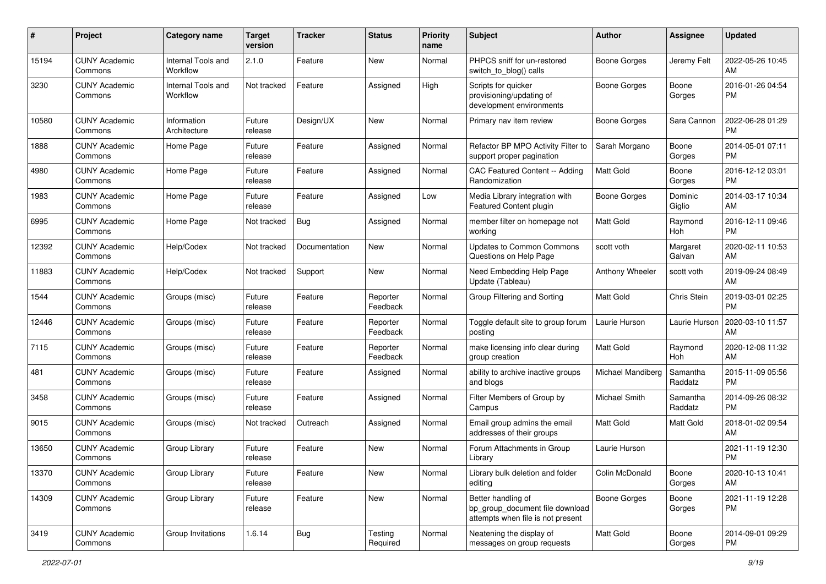| #     | Project                         | <b>Category name</b>           | <b>Target</b><br>version | <b>Tracker</b> | <b>Status</b>        | Priority<br>name | <b>Subject</b>                                                                             | Author              | <b>Assignee</b>     | <b>Updated</b>                |
|-------|---------------------------------|--------------------------------|--------------------------|----------------|----------------------|------------------|--------------------------------------------------------------------------------------------|---------------------|---------------------|-------------------------------|
| 15194 | <b>CUNY Academic</b><br>Commons | Internal Tools and<br>Workflow | 2.1.0                    | Feature        | <b>New</b>           | Normal           | PHPCS sniff for un-restored<br>switch_to_blog() calls                                      | <b>Boone Gorges</b> | Jeremy Felt         | 2022-05-26 10:45<br>AM        |
| 3230  | <b>CUNY Academic</b><br>Commons | Internal Tools and<br>Workflow | Not tracked              | Feature        | Assigned             | High             | Scripts for quicker<br>provisioning/updating of<br>development environments                | <b>Boone Gorges</b> | Boone<br>Gorges     | 2016-01-26 04:54<br><b>PM</b> |
| 10580 | <b>CUNY Academic</b><br>Commons | Information<br>Architecture    | Future<br>release        | Design/UX      | New                  | Normal           | Primary nav item review                                                                    | <b>Boone Gorges</b> | Sara Cannon         | 2022-06-28 01:29<br><b>PM</b> |
| 1888  | <b>CUNY Academic</b><br>Commons | Home Page                      | Future<br>release        | Feature        | Assigned             | Normal           | Refactor BP MPO Activity Filter to<br>support proper pagination                            | Sarah Morgano       | Boone<br>Gorges     | 2014-05-01 07:11<br><b>PM</b> |
| 4980  | <b>CUNY Academic</b><br>Commons | Home Page                      | Future<br>release        | Feature        | Assigned             | Normal           | CAC Featured Content -- Adding<br>Randomization                                            | <b>Matt Gold</b>    | Boone<br>Gorges     | 2016-12-12 03:01<br><b>PM</b> |
| 1983  | <b>CUNY Academic</b><br>Commons | Home Page                      | Future<br>release        | Feature        | Assigned             | Low              | Media Library integration with<br>Featured Content plugin                                  | Boone Gorges        | Dominic<br>Giglio   | 2014-03-17 10:34<br>AM        |
| 6995  | <b>CUNY Academic</b><br>Commons | Home Page                      | Not tracked              | Bug            | Assigned             | Normal           | member filter on homepage not<br>working                                                   | <b>Matt Gold</b>    | Raymond<br>Hoh      | 2016-12-11 09:46<br><b>PM</b> |
| 12392 | <b>CUNY Academic</b><br>Commons | Help/Codex                     | Not tracked              | Documentation  | <b>New</b>           | Normal           | <b>Updates to Common Commons</b><br>Questions on Help Page                                 | scott voth          | Margaret<br>Galvan  | 2020-02-11 10:53<br>AM        |
| 11883 | <b>CUNY Academic</b><br>Commons | Help/Codex                     | Not tracked              | Support        | <b>New</b>           | Normal           | Need Embedding Help Page<br>Update (Tableau)                                               | Anthony Wheeler     | scott voth          | 2019-09-24 08:49<br>AM        |
| 1544  | <b>CUNY Academic</b><br>Commons | Groups (misc)                  | Future<br>release        | Feature        | Reporter<br>Feedback | Normal           | Group Filtering and Sorting                                                                | <b>Matt Gold</b>    | Chris Stein         | 2019-03-01 02:25<br><b>PM</b> |
| 12446 | <b>CUNY Academic</b><br>Commons | Groups (misc)                  | Future<br>release        | Feature        | Reporter<br>Feedback | Normal           | Toggle default site to group forum<br>posting                                              | Laurie Hurson       | Laurie Hurson       | 2020-03-10 11:57<br>AM        |
| 7115  | <b>CUNY Academic</b><br>Commons | Groups (misc)                  | Future<br>release        | Feature        | Reporter<br>Feedback | Normal           | make licensing info clear during<br>group creation                                         | <b>Matt Gold</b>    | Raymond<br>Hoh      | 2020-12-08 11:32<br>AM        |
| 481   | <b>CUNY Academic</b><br>Commons | Groups (misc)                  | Future<br>release        | Feature        | Assigned             | Normal           | ability to archive inactive groups<br>and blogs                                            | Michael Mandiberg   | Samantha<br>Raddatz | 2015-11-09 05:56<br><b>PM</b> |
| 3458  | <b>CUNY Academic</b><br>Commons | Groups (misc)                  | Future<br>release        | Feature        | Assigned             | Normal           | Filter Members of Group by<br>Campus                                                       | Michael Smith       | Samantha<br>Raddatz | 2014-09-26 08:32<br><b>PM</b> |
| 9015  | <b>CUNY Academic</b><br>Commons | Groups (misc)                  | Not tracked              | Outreach       | Assigned             | Normal           | Email group admins the email<br>addresses of their groups                                  | Matt Gold           | Matt Gold           | 2018-01-02 09:54<br>AM        |
| 13650 | <b>CUNY Academic</b><br>Commons | Group Library                  | Future<br>release        | Feature        | New                  | Normal           | Forum Attachments in Group<br>Library                                                      | Laurie Hurson       |                     | 2021-11-19 12:30<br><b>PM</b> |
| 13370 | <b>CUNY Academic</b><br>Commons | Group Library                  | Future<br>release        | Feature        | New                  | Normal           | Library bulk deletion and folder<br>editing                                                | Colin McDonald      | Boone<br>Gorges     | 2020-10-13 10:41<br>AM        |
| 14309 | <b>CUNY Academic</b><br>Commons | Group Library                  | Future<br>release        | Feature        | New                  | Normal           | Better handling of<br>bp_group_document file download<br>attempts when file is not present | Boone Gorges        | Boone<br>Gorges     | 2021-11-19 12:28<br><b>PM</b> |
| 3419  | <b>CUNY Academic</b><br>Commons | Group Invitations              | 1.6.14                   | <b>Bug</b>     | Testing<br>Required  | Normal           | Neatening the display of<br>messages on group requests                                     | Matt Gold           | Boone<br>Gorges     | 2014-09-01 09:29<br><b>PM</b> |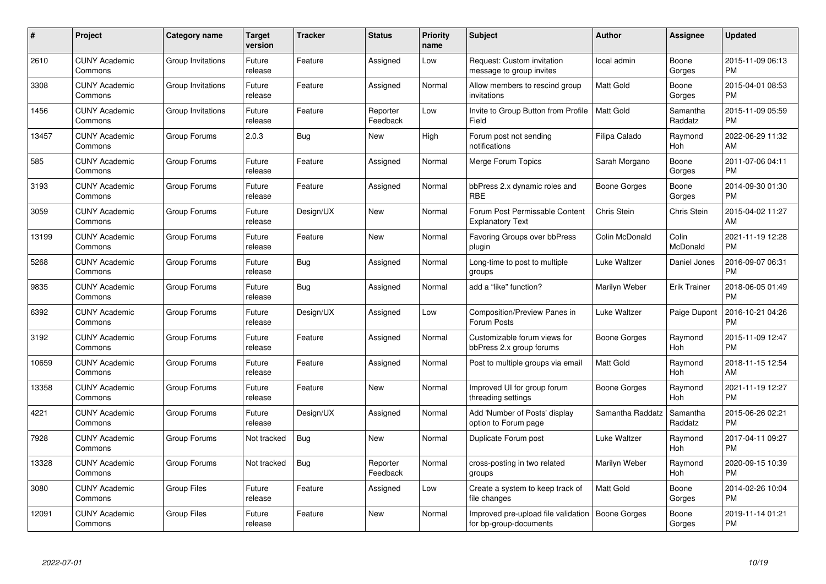| $\#$  | Project                         | <b>Category name</b> | Target<br>version | <b>Tracker</b> | <b>Status</b>        | Priority<br>name | <b>Subject</b>                                                | <b>Author</b>    | <b>Assignee</b>     | <b>Updated</b>                |
|-------|---------------------------------|----------------------|-------------------|----------------|----------------------|------------------|---------------------------------------------------------------|------------------|---------------------|-------------------------------|
| 2610  | <b>CUNY Academic</b><br>Commons | Group Invitations    | Future<br>release | Feature        | Assigned             | Low              | Request: Custom invitation<br>message to group invites        | local admin      | Boone<br>Gorges     | 2015-11-09 06:13<br><b>PM</b> |
| 3308  | <b>CUNY Academic</b><br>Commons | Group Invitations    | Future<br>release | Feature        | Assigned             | Normal           | Allow members to rescind group<br>invitations                 | <b>Matt Gold</b> | Boone<br>Gorges     | 2015-04-01 08:53<br><b>PM</b> |
| 1456  | <b>CUNY Academic</b><br>Commons | Group Invitations    | Future<br>release | Feature        | Reporter<br>Feedback | Low              | Invite to Group Button from Profile<br>Field                  | <b>Matt Gold</b> | Samantha<br>Raddatz | 2015-11-09 05:59<br><b>PM</b> |
| 13457 | <b>CUNY Academic</b><br>Commons | Group Forums         | 2.0.3             | Bug            | <b>New</b>           | High             | Forum post not sending<br>notifications                       | Filipa Calado    | Raymond<br>Hoh      | 2022-06-29 11:32<br>AM        |
| 585   | <b>CUNY Academic</b><br>Commons | Group Forums         | Future<br>release | Feature        | Assigned             | Normal           | Merge Forum Topics                                            | Sarah Morgano    | Boone<br>Gorges     | 2011-07-06 04:11<br><b>PM</b> |
| 3193  | <b>CUNY Academic</b><br>Commons | Group Forums         | Future<br>release | Feature        | Assigned             | Normal           | bbPress 2.x dynamic roles and<br><b>RBE</b>                   | Boone Gorges     | Boone<br>Gorges     | 2014-09-30 01:30<br><b>PM</b> |
| 3059  | <b>CUNY Academic</b><br>Commons | Group Forums         | Future<br>release | Design/UX      | <b>New</b>           | Normal           | Forum Post Permissable Content<br><b>Explanatory Text</b>     | Chris Stein      | <b>Chris Stein</b>  | 2015-04-02 11:27<br>AM        |
| 13199 | <b>CUNY Academic</b><br>Commons | Group Forums         | Future<br>release | Feature        | <b>New</b>           | Normal           | Favoring Groups over bbPress<br>plugin                        | Colin McDonald   | Colin<br>McDonald   | 2021-11-19 12:28<br><b>PM</b> |
| 5268  | <b>CUNY Academic</b><br>Commons | Group Forums         | Future<br>release | <b>Bug</b>     | Assigned             | Normal           | Long-time to post to multiple<br>groups                       | Luke Waltzer     | Daniel Jones        | 2016-09-07 06:31<br><b>PM</b> |
| 9835  | <b>CUNY Academic</b><br>Commons | Group Forums         | Future<br>release | Bug            | Assigned             | Normal           | add a "like" function?                                        | Marilyn Weber    | <b>Erik Trainer</b> | 2018-06-05 01:49<br><b>PM</b> |
| 6392  | <b>CUNY Academic</b><br>Commons | Group Forums         | Future<br>release | Design/UX      | Assigned             | Low              | Composition/Preview Panes in<br>Forum Posts                   | Luke Waltzer     | Paige Dupont        | 2016-10-21 04:26<br><b>PM</b> |
| 3192  | <b>CUNY Academic</b><br>Commons | Group Forums         | Future<br>release | Feature        | Assigned             | Normal           | Customizable forum views for<br>bbPress 2.x group forums      | Boone Gorges     | Raymond<br>Hoh      | 2015-11-09 12:47<br><b>PM</b> |
| 10659 | <b>CUNY Academic</b><br>Commons | Group Forums         | Future<br>release | Feature        | Assigned             | Normal           | Post to multiple groups via email                             | <b>Matt Gold</b> | Raymond<br>Hoh      | 2018-11-15 12:54<br>AM        |
| 13358 | <b>CUNY Academic</b><br>Commons | Group Forums         | Future<br>release | Feature        | New                  | Normal           | Improved UI for group forum<br>threading settings             | Boone Gorges     | Raymond<br>Hoh      | 2021-11-19 12:27<br><b>PM</b> |
| 4221  | <b>CUNY Academic</b><br>Commons | Group Forums         | Future<br>release | Design/UX      | Assigned             | Normal           | Add 'Number of Posts' display<br>option to Forum page         | Samantha Raddatz | Samantha<br>Raddatz | 2015-06-26 02:21<br><b>PM</b> |
| 7928  | <b>CUNY Academic</b><br>Commons | Group Forums         | Not tracked       | <b>Bug</b>     | <b>New</b>           | Normal           | Duplicate Forum post                                          | Luke Waltzer     | Raymond<br>Hoh      | 2017-04-11 09:27<br><b>PM</b> |
| 13328 | <b>CUNY Academic</b><br>Commons | Group Forums         | Not tracked       | Bug            | Reporter<br>Feedback | Normal           | cross-posting in two related<br>groups                        | Marilyn Weber    | Raymond<br>Hoh      | 2020-09-15 10:39<br><b>PM</b> |
| 3080  | <b>CUNY Academic</b><br>Commons | <b>Group Files</b>   | Future<br>release | Feature        | Assigned             | Low              | Create a system to keep track of<br>file changes              | Matt Gold        | Boone<br>Gorges     | 2014-02-26 10:04<br><b>PM</b> |
| 12091 | <b>CUNY Academic</b><br>Commons | Group Files          | Future<br>release | Feature        | <b>New</b>           | Normal           | Improved pre-upload file validation<br>for bp-group-documents | Boone Gorges     | Boone<br>Gorges     | 2019-11-14 01:21<br><b>PM</b> |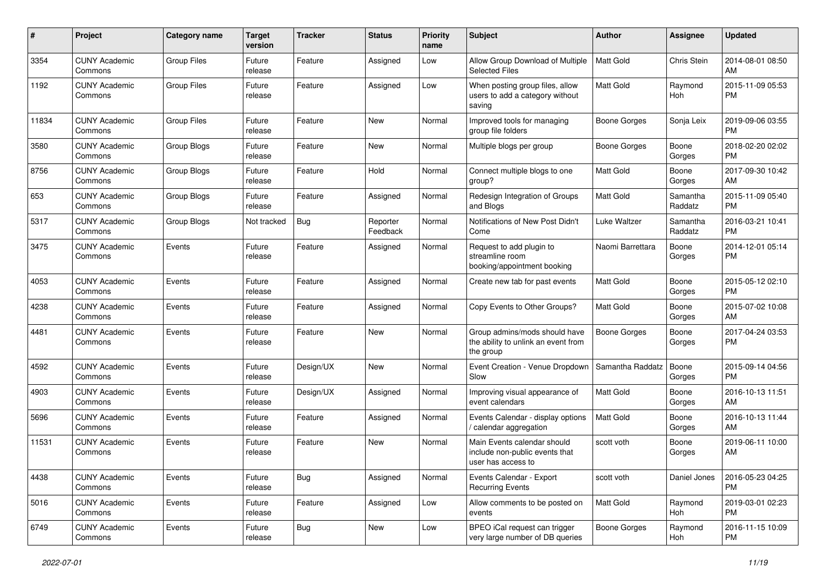| #     | Project                         | <b>Category name</b> | <b>Target</b><br>version | Tracker    | <b>Status</b>        | <b>Priority</b><br>name | Subject                                                                             | Author              | <b>Assignee</b>     | <b>Updated</b>                |
|-------|---------------------------------|----------------------|--------------------------|------------|----------------------|-------------------------|-------------------------------------------------------------------------------------|---------------------|---------------------|-------------------------------|
| 3354  | <b>CUNY Academic</b><br>Commons | <b>Group Files</b>   | Future<br>release        | Feature    | Assigned             | Low                     | Allow Group Download of Multiple<br><b>Selected Files</b>                           | Matt Gold           | Chris Stein         | 2014-08-01 08:50<br>AM        |
| 1192  | <b>CUNY Academic</b><br>Commons | <b>Group Files</b>   | Future<br>release        | Feature    | Assigned             | Low                     | When posting group files, allow<br>users to add a category without<br>saving        | <b>Matt Gold</b>    | Raymond<br>Hoh      | 2015-11-09 05:53<br><b>PM</b> |
| 11834 | <b>CUNY Academic</b><br>Commons | <b>Group Files</b>   | Future<br>release        | Feature    | New                  | Normal                  | Improved tools for managing<br>group file folders                                   | <b>Boone Gorges</b> | Sonja Leix          | 2019-09-06 03:55<br><b>PM</b> |
| 3580  | <b>CUNY Academic</b><br>Commons | Group Blogs          | Future<br>release        | Feature    | <b>New</b>           | Normal                  | Multiple blogs per group                                                            | <b>Boone Gorges</b> | Boone<br>Gorges     | 2018-02-20 02:02<br><b>PM</b> |
| 8756  | <b>CUNY Academic</b><br>Commons | Group Blogs          | Future<br>release        | Feature    | Hold                 | Normal                  | Connect multiple blogs to one<br>group?                                             | <b>Matt Gold</b>    | Boone<br>Gorges     | 2017-09-30 10:42<br>AM        |
| 653   | <b>CUNY Academic</b><br>Commons | Group Blogs          | Future<br>release        | Feature    | Assigned             | Normal                  | Redesign Integration of Groups<br>and Blogs                                         | <b>Matt Gold</b>    | Samantha<br>Raddatz | 2015-11-09 05:40<br><b>PM</b> |
| 5317  | <b>CUNY Academic</b><br>Commons | Group Blogs          | Not tracked              | Bug        | Reporter<br>Feedback | Normal                  | Notifications of New Post Didn't<br>Come                                            | Luke Waltzer        | Samantha<br>Raddatz | 2016-03-21 10:41<br><b>PM</b> |
| 3475  | <b>CUNY Academic</b><br>Commons | Events               | Future<br>release        | Feature    | Assigned             | Normal                  | Request to add plugin to<br>streamline room<br>booking/appointment booking          | Naomi Barrettara    | Boone<br>Gorges     | 2014-12-01 05:14<br><b>PM</b> |
| 4053  | <b>CUNY Academic</b><br>Commons | Events               | Future<br>release        | Feature    | Assigned             | Normal                  | Create new tab for past events                                                      | <b>Matt Gold</b>    | Boone<br>Gorges     | 2015-05-12 02:10<br><b>PM</b> |
| 4238  | <b>CUNY Academic</b><br>Commons | Events               | Future<br>release        | Feature    | Assigned             | Normal                  | Copy Events to Other Groups?                                                        | <b>Matt Gold</b>    | Boone<br>Gorges     | 2015-07-02 10:08<br>AM        |
| 4481  | <b>CUNY Academic</b><br>Commons | Events               | Future<br>release        | Feature    | <b>New</b>           | Normal                  | Group admins/mods should have<br>the ability to unlink an event from<br>the group   | <b>Boone Gorges</b> | Boone<br>Gorges     | 2017-04-24 03:53<br><b>PM</b> |
| 4592  | <b>CUNY Academic</b><br>Commons | Events               | Future<br>release        | Design/UX  | <b>New</b>           | Normal                  | Event Creation - Venue Dropdown<br>Slow                                             | Samantha Raddatz    | Boone<br>Gorges     | 2015-09-14 04:56<br><b>PM</b> |
| 4903  | <b>CUNY Academic</b><br>Commons | Events               | Future<br>release        | Design/UX  | Assigned             | Normal                  | Improving visual appearance of<br>event calendars                                   | <b>Matt Gold</b>    | Boone<br>Gorges     | 2016-10-13 11:51<br>AM        |
| 5696  | <b>CUNY Academic</b><br>Commons | Events               | Future<br>release        | Feature    | Assigned             | Normal                  | Events Calendar - display options<br>/ calendar aggregation                         | <b>Matt Gold</b>    | Boone<br>Gorges     | 2016-10-13 11:44<br>AM        |
| 11531 | <b>CUNY Academic</b><br>Commons | Events               | Future<br>release        | Feature    | New                  | Normal                  | Main Events calendar should<br>include non-public events that<br>user has access to | scott voth          | Boone<br>Gorges     | 2019-06-11 10:00<br>AM        |
| 4438  | <b>CUNY Academic</b><br>Commons | Events               | Future<br>release        | Bug        | Assigned             | Normal                  | Events Calendar - Export<br><b>Recurring Events</b>                                 | scott voth          | Daniel Jones        | 2016-05-23 04:25<br><b>PM</b> |
| 5016  | <b>CUNY Academic</b><br>Commons | Events               | Future<br>release        | Feature    | Assigned             | Low                     | Allow comments to be posted on<br>events                                            | Matt Gold           | Raymond<br>Hoh      | 2019-03-01 02:23<br><b>PM</b> |
| 6749  | <b>CUNY Academic</b><br>Commons | Events               | Future<br>release        | <b>Bug</b> | New                  | Low                     | BPEO iCal request can trigger<br>very large number of DB queries                    | Boone Gorges        | Raymond<br>Hoh      | 2016-11-15 10:09<br>PM        |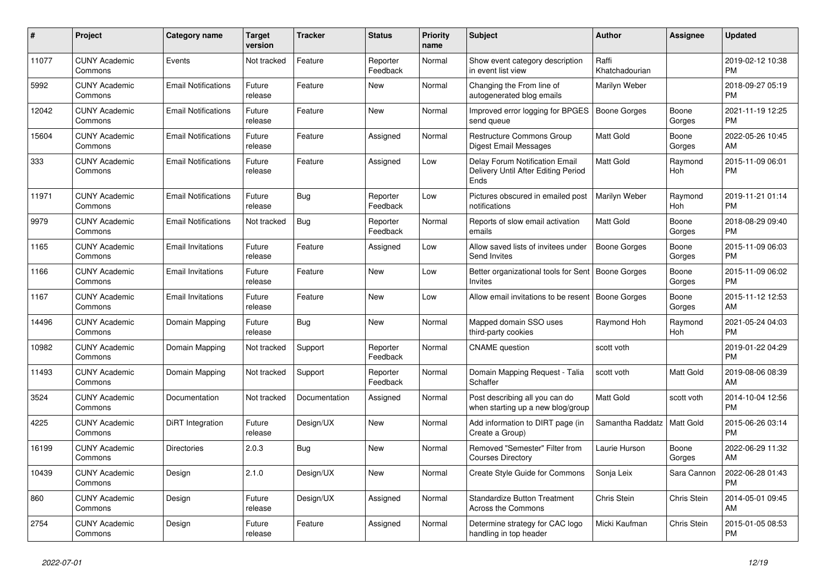| $\pmb{\#}$ | <b>Project</b>                  | <b>Category name</b>       | <b>Target</b><br>version | <b>Tracker</b> | <b>Status</b>        | <b>Priority</b><br>name | <b>Subject</b>                                                                | <b>Author</b>           | Assignee           | <b>Updated</b>                |
|------------|---------------------------------|----------------------------|--------------------------|----------------|----------------------|-------------------------|-------------------------------------------------------------------------------|-------------------------|--------------------|-------------------------------|
| 11077      | <b>CUNY Academic</b><br>Commons | Events                     | Not tracked              | Feature        | Reporter<br>Feedback | Normal                  | Show event category description<br>in event list view                         | Raffi<br>Khatchadourian |                    | 2019-02-12 10:38<br><b>PM</b> |
| 5992       | <b>CUNY Academic</b><br>Commons | <b>Email Notifications</b> | Future<br>release        | Feature        | New                  | Normal                  | Changing the From line of<br>autogenerated blog emails                        | Marilyn Weber           |                    | 2018-09-27 05:19<br><b>PM</b> |
| 12042      | <b>CUNY Academic</b><br>Commons | <b>Email Notifications</b> | Future<br>release        | Feature        | New                  | Normal                  | Improved error logging for BPGES<br>send queue                                | <b>Boone Gorges</b>     | Boone<br>Gorges    | 2021-11-19 12:25<br><b>PM</b> |
| 15604      | <b>CUNY Academic</b><br>Commons | <b>Email Notifications</b> | Future<br>release        | Feature        | Assigned             | Normal                  | Restructure Commons Group<br>Digest Email Messages                            | Matt Gold               | Boone<br>Gorges    | 2022-05-26 10:45<br>AM        |
| 333        | <b>CUNY Academic</b><br>Commons | <b>Email Notifications</b> | Future<br>release        | Feature        | Assigned             | Low                     | Delay Forum Notification Email<br>Delivery Until After Editing Period<br>Ends | Matt Gold               | Raymond<br>Hoh     | 2015-11-09 06:01<br><b>PM</b> |
| 11971      | <b>CUNY Academic</b><br>Commons | <b>Email Notifications</b> | Future<br>release        | Bug            | Reporter<br>Feedback | Low                     | Pictures obscured in emailed post<br>notifications                            | Marilyn Weber           | Raymond<br>Hoh     | 2019-11-21 01:14<br><b>PM</b> |
| 9979       | <b>CUNY Academic</b><br>Commons | <b>Email Notifications</b> | Not tracked              | Bug            | Reporter<br>Feedback | Normal                  | Reports of slow email activation<br>emails                                    | <b>Matt Gold</b>        | Boone<br>Gorges    | 2018-08-29 09:40<br><b>PM</b> |
| 1165       | <b>CUNY Academic</b><br>Commons | <b>Email Invitations</b>   | Future<br>release        | Feature        | Assigned             | Low                     | Allow saved lists of invitees under<br>Send Invites                           | Boone Gorges            | Boone<br>Gorges    | 2015-11-09 06:03<br><b>PM</b> |
| 1166       | <b>CUNY Academic</b><br>Commons | <b>Email Invitations</b>   | Future<br>release        | Feature        | <b>New</b>           | Low                     | Better organizational tools for Sent   Boone Gorges<br>Invites                |                         | Boone<br>Gorges    | 2015-11-09 06:02<br><b>PM</b> |
| 1167       | <b>CUNY Academic</b><br>Commons | <b>Email Invitations</b>   | Future<br>release        | Feature        | <b>New</b>           | Low                     | Allow email invitations to be resent                                          | Boone Gorges            | Boone<br>Gorges    | 2015-11-12 12:53<br>AM        |
| 14496      | <b>CUNY Academic</b><br>Commons | Domain Mapping             | Future<br>release        | Bug            | New                  | Normal                  | Mapped domain SSO uses<br>third-party cookies                                 | Raymond Hoh             | Raymond<br>Hoh     | 2021-05-24 04:03<br><b>PM</b> |
| 10982      | <b>CUNY Academic</b><br>Commons | Domain Mapping             | Not tracked              | Support        | Reporter<br>Feedback | Normal                  | <b>CNAME</b> question                                                         | scott voth              |                    | 2019-01-22 04:29<br><b>PM</b> |
| 11493      | <b>CUNY Academic</b><br>Commons | Domain Mapping             | Not tracked              | Support        | Reporter<br>Feedback | Normal                  | Domain Mapping Request - Talia<br>Schaffer                                    | scott voth              | <b>Matt Gold</b>   | 2019-08-06 08:39<br>AM        |
| 3524       | <b>CUNY Academic</b><br>Commons | Documentation              | Not tracked              | Documentation  | Assigned             | Normal                  | Post describing all you can do<br>when starting up a new blog/group           | Matt Gold               | scott voth         | 2014-10-04 12:56<br><b>PM</b> |
| 4225       | <b>CUNY Academic</b><br>Commons | DiRT Integration           | Future<br>release        | Design/UX      | New                  | Normal                  | Add information to DIRT page (in<br>Create a Group)                           | Samantha Raddatz        | <b>Matt Gold</b>   | 2015-06-26 03:14<br><b>PM</b> |
| 16199      | <b>CUNY Academic</b><br>Commons | <b>Directories</b>         | 2.0.3                    | <b>Bug</b>     | <b>New</b>           | Normal                  | Removed "Semester" Filter from<br><b>Courses Directory</b>                    | Laurie Hurson           | Boone<br>Gorges    | 2022-06-29 11:32<br>AM        |
| 10439      | <b>CUNY Academic</b><br>Commons | Design                     | 2.1.0                    | Design/UX      | <b>New</b>           | Normal                  | Create Style Guide for Commons                                                | Sonja Leix              | Sara Cannon        | 2022-06-28 01:43<br><b>PM</b> |
| 860        | <b>CUNY Academic</b><br>Commons | Design                     | Future<br>release        | Design/UX      | Assigned             | Normal                  | <b>Standardize Button Treatment</b><br><b>Across the Commons</b>              | Chris Stein             | Chris Stein        | 2014-05-01 09:45<br>AM        |
| 2754       | <b>CUNY Academic</b><br>Commons | Design                     | Future<br>release        | Feature        | Assigned             | Normal                  | Determine strategy for CAC logo<br>handling in top header                     | Micki Kaufman           | <b>Chris Stein</b> | 2015-01-05 08:53<br><b>PM</b> |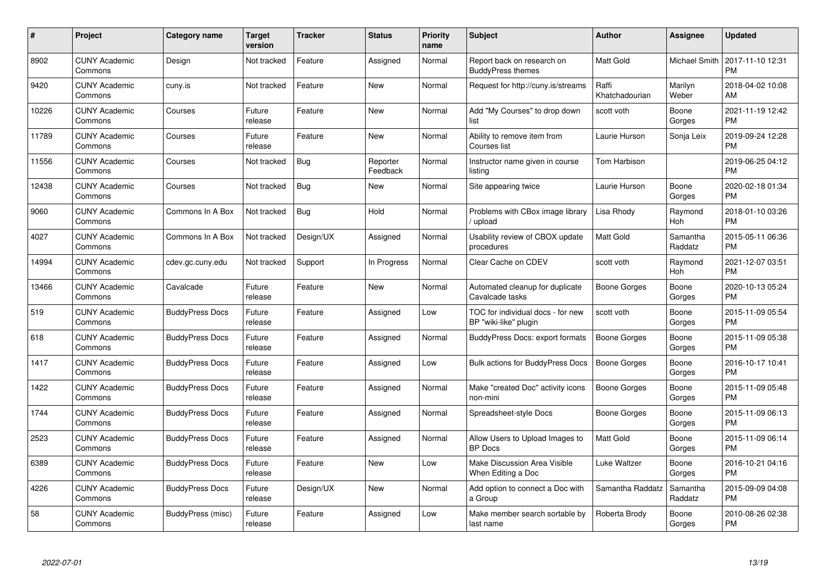| #     | <b>Project</b>                  | Category name          | Target<br>version | <b>Tracker</b> | <b>Status</b>        | <b>Priority</b><br>name | <b>Subject</b>                                             | <b>Author</b>           | Assignee            | <b>Updated</b>                |
|-------|---------------------------------|------------------------|-------------------|----------------|----------------------|-------------------------|------------------------------------------------------------|-------------------------|---------------------|-------------------------------|
| 8902  | <b>CUNY Academic</b><br>Commons | Design                 | Not tracked       | Feature        | Assigned             | Normal                  | Report back on research on<br><b>BuddyPress themes</b>     | <b>Matt Gold</b>        | Michael Smith       | 2017-11-10 12:31<br><b>PM</b> |
| 9420  | <b>CUNY Academic</b><br>Commons | cuny.is                | Not tracked       | Feature        | New                  | Normal                  | Request for http://cuny.is/streams                         | Raffi<br>Khatchadourian | Marilyn<br>Weber    | 2018-04-02 10:08<br>AM        |
| 10226 | <b>CUNY Academic</b><br>Commons | Courses                | Future<br>release | Feature        | <b>New</b>           | Normal                  | Add "My Courses" to drop down<br>list                      | scott voth              | Boone<br>Gorges     | 2021-11-19 12:42<br><b>PM</b> |
| 11789 | <b>CUNY Academic</b><br>Commons | Courses                | Future<br>release | Feature        | New                  | Normal                  | Ability to remove item from<br>Courses list                | Laurie Hurson           | Sonja Leix          | 2019-09-24 12:28<br><b>PM</b> |
| 11556 | <b>CUNY Academic</b><br>Commons | Courses                | Not tracked       | <b>Bug</b>     | Reporter<br>Feedback | Normal                  | Instructor name given in course<br>listing                 | Tom Harbison            |                     | 2019-06-25 04:12<br><b>PM</b> |
| 12438 | <b>CUNY Academic</b><br>Commons | Courses                | Not tracked       | Bug            | New                  | Normal                  | Site appearing twice                                       | Laurie Hurson           | Boone<br>Gorges     | 2020-02-18 01:34<br><b>PM</b> |
| 9060  | <b>CUNY Academic</b><br>Commons | Commons In A Box       | Not tracked       | <b>Bug</b>     | Hold                 | Normal                  | Problems with CBox image library<br>upload                 | Lisa Rhody              | Raymond<br>Hoh      | 2018-01-10 03:26<br><b>PM</b> |
| 4027  | <b>CUNY Academic</b><br>Commons | Commons In A Box       | Not tracked       | Design/UX      | Assigned             | Normal                  | Usability review of CBOX update<br>procedures              | <b>Matt Gold</b>        | Samantha<br>Raddatz | 2015-05-11 06:36<br><b>PM</b> |
| 14994 | <b>CUNY Academic</b><br>Commons | cdev.gc.cuny.edu       | Not tracked       | Support        | In Progress          | Normal                  | Clear Cache on CDEV                                        | scott voth              | Raymond<br>Hoh      | 2021-12-07 03:51<br><b>PM</b> |
| 13466 | <b>CUNY Academic</b><br>Commons | Cavalcade              | Future<br>release | Feature        | <b>New</b>           | Normal                  | Automated cleanup for duplicate<br>Cavalcade tasks         | Boone Gorges            | Boone<br>Gorges     | 2020-10-13 05:24<br><b>PM</b> |
| 519   | <b>CUNY Academic</b><br>Commons | <b>BuddyPress Docs</b> | Future<br>release | Feature        | Assigned             | Low                     | TOC for individual docs - for new<br>BP "wiki-like" plugin | scott voth              | Boone<br>Gorges     | 2015-11-09 05:54<br><b>PM</b> |
| 618   | <b>CUNY Academic</b><br>Commons | <b>BuddyPress Docs</b> | Future<br>release | Feature        | Assigned             | Normal                  | <b>BuddyPress Docs: export formats</b>                     | <b>Boone Gorges</b>     | Boone<br>Gorges     | 2015-11-09 05:38<br><b>PM</b> |
| 1417  | <b>CUNY Academic</b><br>Commons | <b>BuddyPress Docs</b> | Future<br>release | Feature        | Assigned             | Low                     | <b>Bulk actions for BuddyPress Docs</b>                    | Boone Gorges            | Boone<br>Gorges     | 2016-10-17 10:41<br><b>PM</b> |
| 1422  | <b>CUNY Academic</b><br>Commons | <b>BuddyPress Docs</b> | Future<br>release | Feature        | Assigned             | Normal                  | Make "created Doc" activity icons<br>non-mini              | <b>Boone Gorges</b>     | Boone<br>Gorges     | 2015-11-09 05:48<br>PM.       |
| 1744  | <b>CUNY Academic</b><br>Commons | <b>BuddyPress Docs</b> | Future<br>release | Feature        | Assigned             | Normal                  | Spreadsheet-style Docs                                     | Boone Gorges            | Boone<br>Gorges     | 2015-11-09 06:13<br><b>PM</b> |
| 2523  | <b>CUNY Academic</b><br>Commons | <b>BuddyPress Docs</b> | Future<br>release | Feature        | Assigned             | Normal                  | Allow Users to Upload Images to<br><b>BP</b> Docs          | Matt Gold               | Boone<br>Gorges     | 2015-11-09 06:14<br><b>PM</b> |
| 6389  | <b>CUNY Academic</b><br>Commons | <b>BuddyPress Docs</b> | Future<br>release | Feature        | New                  | Low                     | Make Discussion Area Visible<br>When Editing a Doc         | Luke Waltzer            | Boone<br>Gorges     | 2016-10-21 04:16<br><b>PM</b> |
| 4226  | <b>CUNY Academic</b><br>Commons | <b>BuddyPress Docs</b> | Future<br>release | Design/UX      | New                  | Normal                  | Add option to connect a Doc with<br>a Group                | Samantha Raddatz        | Samantha<br>Raddatz | 2015-09-09 04:08<br><b>PM</b> |
| 58    | <b>CUNY Academic</b><br>Commons | BuddyPress (misc)      | Future<br>release | Feature        | Assigned             | Low                     | Make member search sortable by<br>last name                | Roberta Brody           | Boone<br>Gorges     | 2010-08-26 02:38<br>PM        |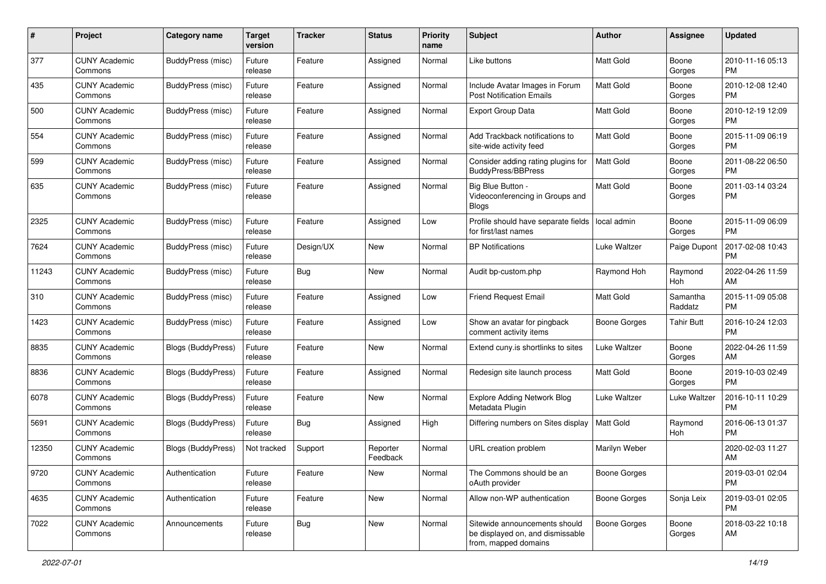| #     | Project                         | <b>Category name</b>     | <b>Target</b><br>version | <b>Tracker</b> | <b>Status</b>        | Priority<br>name | <b>Subject</b>                                                                            | Author              | <b>Assignee</b>     | <b>Updated</b>                |
|-------|---------------------------------|--------------------------|--------------------------|----------------|----------------------|------------------|-------------------------------------------------------------------------------------------|---------------------|---------------------|-------------------------------|
| 377   | <b>CUNY Academic</b><br>Commons | <b>BuddyPress (misc)</b> | Future<br>release        | Feature        | Assigned             | Normal           | Like buttons                                                                              | <b>Matt Gold</b>    | Boone<br>Gorges     | 2010-11-16 05:13<br><b>PM</b> |
| 435   | <b>CUNY Academic</b><br>Commons | <b>BuddyPress (misc)</b> | Future<br>release        | Feature        | Assigned             | Normal           | Include Avatar Images in Forum<br><b>Post Notification Emails</b>                         | <b>Matt Gold</b>    | Boone<br>Gorges     | 2010-12-08 12:40<br><b>PM</b> |
| 500   | <b>CUNY Academic</b><br>Commons | <b>BuddyPress (misc)</b> | Future<br>release        | Feature        | Assigned             | Normal           | Export Group Data                                                                         | Matt Gold           | Boone<br>Gorges     | 2010-12-19 12:09<br><b>PM</b> |
| 554   | <b>CUNY Academic</b><br>Commons | <b>BuddyPress (misc)</b> | Future<br>release        | Feature        | Assigned             | Normal           | Add Trackback notifications to<br>site-wide activity feed                                 | Matt Gold           | Boone<br>Gorges     | 2015-11-09 06:19<br><b>PM</b> |
| 599   | <b>CUNY Academic</b><br>Commons | <b>BuddyPress (misc)</b> | Future<br>release        | Feature        | Assigned             | Normal           | Consider adding rating plugins for<br><b>BuddyPress/BBPress</b>                           | <b>Matt Gold</b>    | Boone<br>Gorges     | 2011-08-22 06:50<br><b>PM</b> |
| 635   | <b>CUNY Academic</b><br>Commons | <b>BuddyPress (misc)</b> | Future<br>release        | Feature        | Assigned             | Normal           | Big Blue Button -<br>Videoconferencing in Groups and<br><b>Blogs</b>                      | <b>Matt Gold</b>    | Boone<br>Gorges     | 2011-03-14 03:24<br><b>PM</b> |
| 2325  | <b>CUNY Academic</b><br>Commons | <b>BuddyPress (misc)</b> | Future<br>release        | Feature        | Assigned             | Low              | Profile should have separate fields<br>for first/last names                               | local admin         | Boone<br>Gorges     | 2015-11-09 06:09<br><b>PM</b> |
| 7624  | <b>CUNY Academic</b><br>Commons | <b>BuddyPress (misc)</b> | Future<br>release        | Design/UX      | New                  | Normal           | <b>BP Notifications</b>                                                                   | Luke Waltzer        | Paige Dupont        | 2017-02-08 10:43<br><b>PM</b> |
| 11243 | <b>CUNY Academic</b><br>Commons | <b>BuddyPress (misc)</b> | Future<br>release        | Bug            | New                  | Normal           | Audit bp-custom.php                                                                       | Raymond Hoh         | Raymond<br>Hoh      | 2022-04-26 11:59<br>AM        |
| 310   | <b>CUNY Academic</b><br>Commons | <b>BuddyPress (misc)</b> | Future<br>release        | Feature        | Assigned             | Low              | <b>Friend Request Email</b>                                                               | <b>Matt Gold</b>    | Samantha<br>Raddatz | 2015-11-09 05:08<br><b>PM</b> |
| 1423  | <b>CUNY Academic</b><br>Commons | BuddyPress (misc)        | Future<br>release        | Feature        | Assigned             | Low              | Show an avatar for pingback<br>comment activity items                                     | Boone Gorges        | <b>Tahir Butt</b>   | 2016-10-24 12:03<br><b>PM</b> |
| 8835  | <b>CUNY Academic</b><br>Commons | Blogs (BuddyPress)       | Future<br>release        | Feature        | New                  | Normal           | Extend cuny.is shortlinks to sites                                                        | Luke Waltzer        | Boone<br>Gorges     | 2022-04-26 11:59<br>AM        |
| 8836  | <b>CUNY Academic</b><br>Commons | Blogs (BuddyPress)       | Future<br>release        | Feature        | Assigned             | Normal           | Redesign site launch process                                                              | <b>Matt Gold</b>    | Boone<br>Gorges     | 2019-10-03 02:49<br><b>PM</b> |
| 6078  | <b>CUNY Academic</b><br>Commons | Blogs (BuddyPress)       | Future<br>release        | Feature        | New                  | Normal           | <b>Explore Adding Network Blog</b><br>Metadata Plugin                                     | Luke Waltzer        | Luke Waltzer        | 2016-10-11 10:29<br><b>PM</b> |
| 5691  | <b>CUNY Academic</b><br>Commons | Blogs (BuddyPress)       | Future<br>release        | Bug            | Assigned             | High             | Differing numbers on Sites display                                                        | Matt Gold           | Raymond<br>Hoh      | 2016-06-13 01:37<br><b>PM</b> |
| 12350 | <b>CUNY Academic</b><br>Commons | Blogs (BuddyPress)       | Not tracked              | Support        | Reporter<br>Feedback | Normal           | URL creation problem                                                                      | Marilyn Weber       |                     | 2020-02-03 11:27<br>AM        |
| 9720  | <b>CUNY Academic</b><br>Commons | Authentication           | Future<br>release        | Feature        | New                  | Normal           | The Commons should be an<br>oAuth provider                                                | <b>Boone Gorges</b> |                     | 2019-03-01 02:04<br>PM        |
| 4635  | <b>CUNY Academic</b><br>Commons | Authentication           | Future<br>release        | Feature        | New                  | Normal           | Allow non-WP authentication                                                               | Boone Gorges        | Sonja Leix          | 2019-03-01 02:05<br><b>PM</b> |
| 7022  | <b>CUNY Academic</b><br>Commons | Announcements            | Future<br>release        | Bug            | New                  | Normal           | Sitewide announcements should<br>be displayed on, and dismissable<br>from, mapped domains | Boone Gorges        | Boone<br>Gorges     | 2018-03-22 10:18<br>AM        |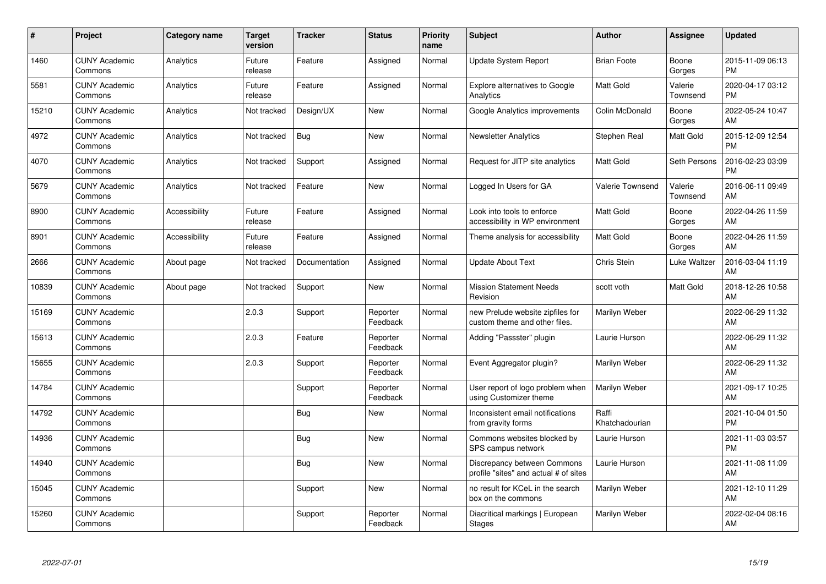| $\pmb{\#}$ | Project                         | <b>Category name</b> | <b>Target</b><br>version | <b>Tracker</b> | <b>Status</b>        | <b>Priority</b><br>name | <b>Subject</b>                                                       | <b>Author</b>           | <b>Assignee</b>     | <b>Updated</b>                |
|------------|---------------------------------|----------------------|--------------------------|----------------|----------------------|-------------------------|----------------------------------------------------------------------|-------------------------|---------------------|-------------------------------|
| 1460       | <b>CUNY Academic</b><br>Commons | Analytics            | Future<br>release        | Feature        | Assigned             | Normal                  | <b>Update System Report</b>                                          | <b>Brian Foote</b>      | Boone<br>Gorges     | 2015-11-09 06:13<br><b>PM</b> |
| 5581       | <b>CUNY Academic</b><br>Commons | Analytics            | Future<br>release        | Feature        | Assigned             | Normal                  | Explore alternatives to Google<br>Analytics                          | <b>Matt Gold</b>        | Valerie<br>Townsend | 2020-04-17 03:12<br><b>PM</b> |
| 15210      | <b>CUNY Academic</b><br>Commons | Analytics            | Not tracked              | Design/UX      | <b>New</b>           | Normal                  | Google Analytics improvements                                        | Colin McDonald          | Boone<br>Gorges     | 2022-05-24 10:47<br>AM        |
| 4972       | <b>CUNY Academic</b><br>Commons | Analytics            | Not tracked              | Bug            | <b>New</b>           | Normal                  | <b>Newsletter Analytics</b>                                          | Stephen Real            | Matt Gold           | 2015-12-09 12:54<br><b>PM</b> |
| 4070       | <b>CUNY Academic</b><br>Commons | Analytics            | Not tracked              | Support        | Assigned             | Normal                  | Request for JITP site analytics                                      | <b>Matt Gold</b>        | Seth Persons        | 2016-02-23 03:09<br><b>PM</b> |
| 5679       | <b>CUNY Academic</b><br>Commons | Analytics            | Not tracked              | Feature        | <b>New</b>           | Normal                  | Logged In Users for GA                                               | Valerie Townsend        | Valerie<br>Townsend | 2016-06-11 09:49<br>AM        |
| 8900       | <b>CUNY Academic</b><br>Commons | Accessibility        | Future<br>release        | Feature        | Assigned             | Normal                  | Look into tools to enforce<br>accessibility in WP environment        | Matt Gold               | Boone<br>Gorges     | 2022-04-26 11:59<br>AM        |
| 8901       | <b>CUNY Academic</b><br>Commons | Accessibility        | Future<br>release        | Feature        | Assigned             | Normal                  | Theme analysis for accessibility                                     | <b>Matt Gold</b>        | Boone<br>Gorges     | 2022-04-26 11:59<br>AM        |
| 2666       | <b>CUNY Academic</b><br>Commons | About page           | Not tracked              | Documentation  | Assigned             | Normal                  | <b>Update About Text</b>                                             | Chris Stein             | Luke Waltzer        | 2016-03-04 11:19<br>AM        |
| 10839      | <b>CUNY Academic</b><br>Commons | About page           | Not tracked              | Support        | <b>New</b>           | Normal                  | <b>Mission Statement Needs</b><br>Revision                           | scott voth              | Matt Gold           | 2018-12-26 10:58<br>AM        |
| 15169      | <b>CUNY Academic</b><br>Commons |                      | 2.0.3                    | Support        | Reporter<br>Feedback | Normal                  | new Prelude website zipfiles for<br>custom theme and other files.    | Marilyn Weber           |                     | 2022-06-29 11:32<br>AM        |
| 15613      | <b>CUNY Academic</b><br>Commons |                      | 2.0.3                    | Feature        | Reporter<br>Feedback | Normal                  | Adding "Passster" plugin                                             | Laurie Hurson           |                     | 2022-06-29 11:32<br>AM        |
| 15655      | <b>CUNY Academic</b><br>Commons |                      | 2.0.3                    | Support        | Reporter<br>Feedback | Normal                  | Event Aggregator plugin?                                             | Marilyn Weber           |                     | 2022-06-29 11:32<br>AM        |
| 14784      | <b>CUNY Academic</b><br>Commons |                      |                          | Support        | Reporter<br>Feedback | Normal                  | User report of logo problem when<br>using Customizer theme           | Marilyn Weber           |                     | 2021-09-17 10:25<br>AM        |
| 14792      | <b>CUNY Academic</b><br>Commons |                      |                          | Bug            | <b>New</b>           | Normal                  | Inconsistent email notifications<br>from gravity forms               | Raffi<br>Khatchadourian |                     | 2021-10-04 01:50<br><b>PM</b> |
| 14936      | <b>CUNY Academic</b><br>Commons |                      |                          | Bug            | <b>New</b>           | Normal                  | Commons websites blocked by<br>SPS campus network                    | Laurie Hurson           |                     | 2021-11-03 03:57<br><b>PM</b> |
| 14940      | <b>CUNY Academic</b><br>Commons |                      |                          | <b>Bug</b>     | <b>New</b>           | Normal                  | Discrepancy between Commons<br>profile "sites" and actual # of sites | Laurie Hurson           |                     | 2021-11-08 11:09<br>AM        |
| 15045      | <b>CUNY Academic</b><br>Commons |                      |                          | Support        | <b>New</b>           | Normal                  | no result for KCeL in the search<br>box on the commons               | Marilyn Weber           |                     | 2021-12-10 11:29<br>AM        |
| 15260      | <b>CUNY Academic</b><br>Commons |                      |                          | Support        | Reporter<br>Feedback | Normal                  | Diacritical markings   European<br><b>Stages</b>                     | Marilyn Weber           |                     | 2022-02-04 08:16<br>AM        |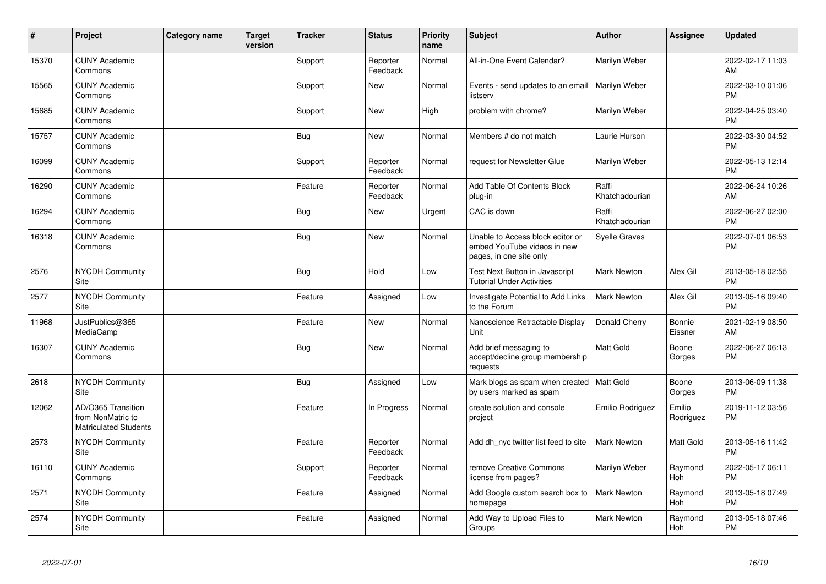| #     | Project                                                                 | <b>Category name</b> | <b>Target</b><br>version | <b>Tracker</b> | <b>Status</b>        | <b>Priority</b><br>name | <b>Subject</b>                                                                             | <b>Author</b>           | Assignee            | <b>Updated</b>                |
|-------|-------------------------------------------------------------------------|----------------------|--------------------------|----------------|----------------------|-------------------------|--------------------------------------------------------------------------------------------|-------------------------|---------------------|-------------------------------|
| 15370 | <b>CUNY Academic</b><br>Commons                                         |                      |                          | Support        | Reporter<br>Feedback | Normal                  | All-in-One Event Calendar?                                                                 | Marilyn Weber           |                     | 2022-02-17 11:03<br>AM        |
| 15565 | <b>CUNY Academic</b><br>Commons                                         |                      |                          | Support        | <b>New</b>           | Normal                  | Events - send updates to an email<br>listserv                                              | Marilyn Weber           |                     | 2022-03-10 01:06<br><b>PM</b> |
| 15685 | <b>CUNY Academic</b><br>Commons                                         |                      |                          | Support        | New                  | High                    | problem with chrome?                                                                       | Marilyn Weber           |                     | 2022-04-25 03:40<br><b>PM</b> |
| 15757 | <b>CUNY Academic</b><br>Commons                                         |                      |                          | Bug            | New                  | Normal                  | Members # do not match                                                                     | Laurie Hurson           |                     | 2022-03-30 04:52<br><b>PM</b> |
| 16099 | <b>CUNY Academic</b><br>Commons                                         |                      |                          | Support        | Reporter<br>Feedback | Normal                  | request for Newsletter Glue                                                                | Marilyn Weber           |                     | 2022-05-13 12:14<br><b>PM</b> |
| 16290 | <b>CUNY Academic</b><br>Commons                                         |                      |                          | Feature        | Reporter<br>Feedback | Normal                  | Add Table Of Contents Block<br>plug-in                                                     | Raffi<br>Khatchadourian |                     | 2022-06-24 10:26<br>AM        |
| 16294 | <b>CUNY Academic</b><br>Commons                                         |                      |                          | <b>Bug</b>     | <b>New</b>           | Urgent                  | CAC is down                                                                                | Raffi<br>Khatchadourian |                     | 2022-06-27 02:00<br><b>PM</b> |
| 16318 | <b>CUNY Academic</b><br>Commons                                         |                      |                          | <b>Bug</b>     | <b>New</b>           | Normal                  | Unable to Access block editor or<br>embed YouTube videos in new<br>pages, in one site only | <b>Syelle Graves</b>    |                     | 2022-07-01 06:53<br><b>PM</b> |
| 2576  | NYCDH Community<br>Site                                                 |                      |                          | Bug            | Hold                 | Low                     | Test Next Button in Javascript<br><b>Tutorial Under Activities</b>                         | <b>Mark Newton</b>      | Alex Gil            | 2013-05-18 02:55<br><b>PM</b> |
| 2577  | NYCDH Community<br><b>Site</b>                                          |                      |                          | Feature        | Assigned             | Low                     | Investigate Potential to Add Links<br>to the Forum                                         | <b>Mark Newton</b>      | Alex Gil            | 2013-05-16 09:40<br><b>PM</b> |
| 11968 | JustPublics@365<br>MediaCamp                                            |                      |                          | Feature        | <b>New</b>           | Normal                  | Nanoscience Retractable Display<br>Unit                                                    | Donald Cherry           | Bonnie<br>Eissner   | 2021-02-19 08:50<br>AM        |
| 16307 | <b>CUNY Academic</b><br>Commons                                         |                      |                          | Bug            | <b>New</b>           | Normal                  | Add brief messaging to<br>accept/decline group membership<br>requests                      | <b>Matt Gold</b>        | Boone<br>Gorges     | 2022-06-27 06:13<br><b>PM</b> |
| 2618  | NYCDH Community<br>Site                                                 |                      |                          | Bug            | Assigned             | Low                     | Mark blogs as spam when created   Matt Gold<br>by users marked as spam                     |                         | Boone<br>Gorges     | 2013-06-09 11:38<br><b>PM</b> |
| 12062 | AD/O365 Transition<br>from NonMatric to<br><b>Matriculated Students</b> |                      |                          | Feature        | In Progress          | Normal                  | create solution and console<br>project                                                     | Emilio Rodriguez        | Emilio<br>Rodriguez | 2019-11-12 03:56<br><b>PM</b> |
| 2573  | <b>NYCDH Community</b><br>Site                                          |                      |                          | Feature        | Reporter<br>Feedback | Normal                  | Add dh_nyc twitter list feed to site                                                       | <b>Mark Newton</b>      | Matt Gold           | 2013-05-16 11:42<br><b>PM</b> |
| 16110 | <b>CUNY Academic</b><br>Commons                                         |                      |                          | Support        | Reporter<br>Feedback | Normal                  | remove Creative Commons<br>license from pages?                                             | Marilyn Weber           | Raymond<br>Hoh      | 2022-05-17 06:11<br><b>PM</b> |
| 2571  | <b>NYCDH Community</b><br>Site                                          |                      |                          | Feature        | Assigned             | Normal                  | Add Google custom search box to<br>homepage                                                | <b>Mark Newton</b>      | Raymond<br>Hoh      | 2013-05-18 07:49<br><b>PM</b> |
| 2574  | <b>NYCDH Community</b><br>Site                                          |                      |                          | Feature        | Assigned             | Normal                  | Add Way to Upload Files to<br>Groups                                                       | <b>Mark Newton</b>      | Raymond<br>Hoh      | 2013-05-18 07:46<br><b>PM</b> |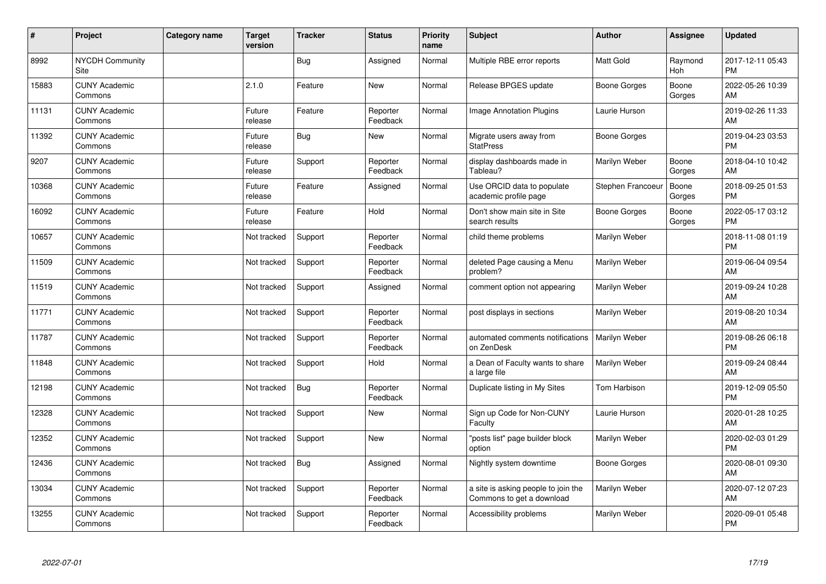| #     | Project                         | <b>Category name</b> | <b>Target</b><br>version | <b>Tracker</b> | <b>Status</b>        | <b>Priority</b><br>name | <b>Subject</b>                                                   | <b>Author</b>    | <b>Assignee</b>       | <b>Updated</b>                |
|-------|---------------------------------|----------------------|--------------------------|----------------|----------------------|-------------------------|------------------------------------------------------------------|------------------|-----------------------|-------------------------------|
| 8992  | <b>NYCDH Community</b><br>Site  |                      |                          | Bug            | Assigned             | Normal                  | Multiple RBE error reports                                       | <b>Matt Gold</b> | Raymond<br><b>Hoh</b> | 2017-12-11 05:43<br><b>PM</b> |
| 15883 | <b>CUNY Academic</b><br>Commons |                      | 2.1.0                    | Feature        | <b>New</b>           | Normal                  | Release BPGES update                                             | Boone Gorges     | Boone<br>Gorges       | 2022-05-26 10:39<br>AM        |
| 11131 | <b>CUNY Academic</b><br>Commons |                      | Future<br>release        | Feature        | Reporter<br>Feedback | Normal                  | <b>Image Annotation Plugins</b>                                  | Laurie Hurson    |                       | 2019-02-26 11:33<br>AM        |
| 11392 | <b>CUNY Academic</b><br>Commons |                      | Future<br>release        | <b>Bug</b>     | <b>New</b>           | Normal                  | Migrate users away from<br><b>StatPress</b>                      | Boone Gorges     |                       | 2019-04-23 03:53<br><b>PM</b> |
| 9207  | <b>CUNY Academic</b><br>Commons |                      | Future<br>release        | Support        | Reporter<br>Feedback | Normal                  | display dashboards made in<br>Tableau?                           | Marilyn Weber    | Boone<br>Gorges       | 2018-04-10 10:42<br>AM        |
| 10368 | <b>CUNY Academic</b><br>Commons |                      | Future<br>release        | Feature        | Assigned             | Normal                  | Use ORCID data to populate<br>academic profile page              | Stephen Francoeu | Boone<br>Gorges       | 2018-09-25 01:53<br><b>PM</b> |
| 16092 | <b>CUNY Academic</b><br>Commons |                      | Future<br>release        | Feature        | Hold                 | Normal                  | Don't show main site in Site<br>search results                   | Boone Gorges     | Boone<br>Gorges       | 2022-05-17 03:12<br><b>PM</b> |
| 10657 | <b>CUNY Academic</b><br>Commons |                      | Not tracked              | Support        | Reporter<br>Feedback | Normal                  | child theme problems                                             | Marilyn Weber    |                       | 2018-11-08 01:19<br><b>PM</b> |
| 11509 | <b>CUNY Academic</b><br>Commons |                      | Not tracked              | Support        | Reporter<br>Feedback | Normal                  | deleted Page causing a Menu<br>problem?                          | Marilyn Weber    |                       | 2019-06-04 09:54<br>AM        |
| 11519 | <b>CUNY Academic</b><br>Commons |                      | Not tracked              | Support        | Assigned             | Normal                  | comment option not appearing                                     | Marilyn Weber    |                       | 2019-09-24 10:28<br>AM        |
| 11771 | <b>CUNY Academic</b><br>Commons |                      | Not tracked              | Support        | Reporter<br>Feedback | Normal                  | post displays in sections                                        | Marilyn Weber    |                       | 2019-08-20 10:34<br>AM        |
| 11787 | <b>CUNY Academic</b><br>Commons |                      | Not tracked              | Support        | Reporter<br>Feedback | Normal                  | automated comments notifications<br>on ZenDesk                   | Marilyn Weber    |                       | 2019-08-26 06:18<br><b>PM</b> |
| 11848 | <b>CUNY Academic</b><br>Commons |                      | Not tracked              | Support        | Hold                 | Normal                  | a Dean of Faculty wants to share<br>a large file                 | Marilyn Weber    |                       | 2019-09-24 08:44<br>AM        |
| 12198 | <b>CUNY Academic</b><br>Commons |                      | Not tracked              | Bug            | Reporter<br>Feedback | Normal                  | Duplicate listing in My Sites                                    | Tom Harbison     |                       | 2019-12-09 05:50<br><b>PM</b> |
| 12328 | <b>CUNY Academic</b><br>Commons |                      | Not tracked              | Support        | New                  | Normal                  | Sign up Code for Non-CUNY<br>Faculty                             | Laurie Hurson    |                       | 2020-01-28 10:25<br>AM        |
| 12352 | <b>CUNY Academic</b><br>Commons |                      | Not tracked              | Support        | <b>New</b>           | Normal                  | 'posts list" page builder block<br>option                        | Marilyn Weber    |                       | 2020-02-03 01:29<br><b>PM</b> |
| 12436 | <b>CUNY Academic</b><br>Commons |                      | Not tracked              | Bug            | Assigned             | Normal                  | Nightly system downtime                                          | Boone Gorges     |                       | 2020-08-01 09:30<br>AM        |
| 13034 | <b>CUNY Academic</b><br>Commons |                      | Not tracked              | Support        | Reporter<br>Feedback | Normal                  | a site is asking people to join the<br>Commons to get a download | Marilyn Weber    |                       | 2020-07-12 07:23<br>AM        |
| 13255 | <b>CUNY Academic</b><br>Commons |                      | Not tracked              | Support        | Reporter<br>Feedback | Normal                  | Accessibility problems                                           | Marilyn Weber    |                       | 2020-09-01 05:48<br>PM        |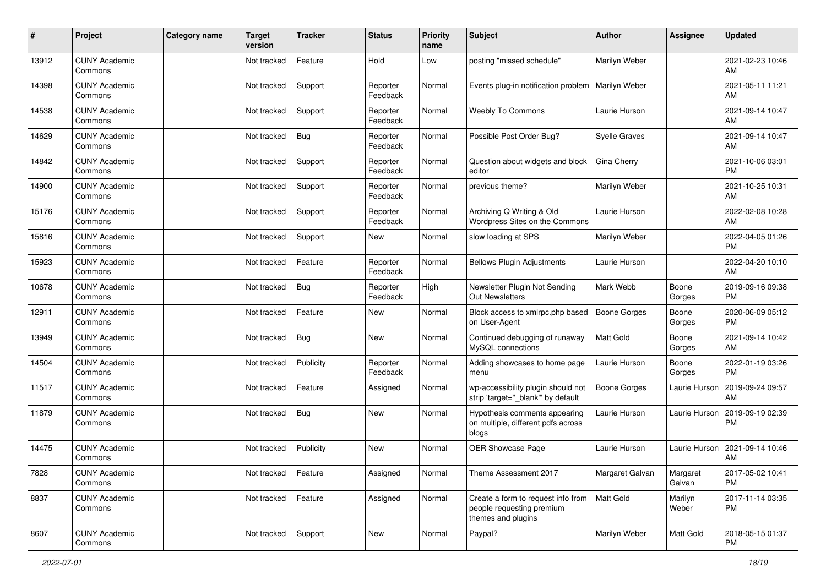| #     | Project                         | <b>Category name</b> | <b>Target</b><br>version | <b>Tracker</b> | <b>Status</b>        | <b>Priority</b><br>name | <b>Subject</b>                                                                        | <b>Author</b>       | Assignee           | <b>Updated</b>                |
|-------|---------------------------------|----------------------|--------------------------|----------------|----------------------|-------------------------|---------------------------------------------------------------------------------------|---------------------|--------------------|-------------------------------|
| 13912 | <b>CUNY Academic</b><br>Commons |                      | Not tracked              | Feature        | Hold                 | Low                     | posting "missed schedule"                                                             | Marilyn Weber       |                    | 2021-02-23 10:46<br>AM        |
| 14398 | <b>CUNY Academic</b><br>Commons |                      | Not tracked              | Support        | Reporter<br>Feedback | Normal                  | Events plug-in notification problem                                                   | Marilyn Weber       |                    | 2021-05-11 11:21<br>AM        |
| 14538 | <b>CUNY Academic</b><br>Commons |                      | Not tracked              | Support        | Reporter<br>Feedback | Normal                  | Weebly To Commons                                                                     | Laurie Hurson       |                    | 2021-09-14 10:47<br>AM        |
| 14629 | <b>CUNY Academic</b><br>Commons |                      | Not tracked              | Bug            | Reporter<br>Feedback | Normal                  | Possible Post Order Bug?                                                              | Syelle Graves       |                    | 2021-09-14 10:47<br>AM        |
| 14842 | <b>CUNY Academic</b><br>Commons |                      | Not tracked              | Support        | Reporter<br>Feedback | Normal                  | Question about widgets and block<br>editor                                            | Gina Cherry         |                    | 2021-10-06 03:01<br><b>PM</b> |
| 14900 | <b>CUNY Academic</b><br>Commons |                      | Not tracked              | Support        | Reporter<br>Feedback | Normal                  | previous theme?                                                                       | Marilyn Weber       |                    | 2021-10-25 10:31<br>AM        |
| 15176 | <b>CUNY Academic</b><br>Commons |                      | Not tracked              | Support        | Reporter<br>Feedback | Normal                  | Archiving Q Writing & Old<br>Wordpress Sites on the Commons                           | Laurie Hurson       |                    | 2022-02-08 10:28<br>AM        |
| 15816 | <b>CUNY Academic</b><br>Commons |                      | Not tracked              | Support        | <b>New</b>           | Normal                  | slow loading at SPS                                                                   | Marilyn Weber       |                    | 2022-04-05 01:26<br><b>PM</b> |
| 15923 | <b>CUNY Academic</b><br>Commons |                      | Not tracked              | Feature        | Reporter<br>Feedback | Normal                  | <b>Bellows Plugin Adjustments</b>                                                     | Laurie Hurson       |                    | 2022-04-20 10:10<br>AM        |
| 10678 | <b>CUNY Academic</b><br>Commons |                      | Not tracked              | <b>Bug</b>     | Reporter<br>Feedback | High                    | Newsletter Plugin Not Sending<br><b>Out Newsletters</b>                               | Mark Webb           | Boone<br>Gorges    | 2019-09-16 09:38<br><b>PM</b> |
| 12911 | <b>CUNY Academic</b><br>Commons |                      | Not tracked              | Feature        | New                  | Normal                  | Block access to xmlrpc.php based<br>on User-Agent                                     | <b>Boone Gorges</b> | Boone<br>Gorges    | 2020-06-09 05:12<br><b>PM</b> |
| 13949 | <b>CUNY Academic</b><br>Commons |                      | Not tracked              | Bug            | New                  | Normal                  | Continued debugging of runaway<br>MySQL connections                                   | Matt Gold           | Boone<br>Gorges    | 2021-09-14 10:42<br>AM        |
| 14504 | <b>CUNY Academic</b><br>Commons |                      | Not tracked              | Publicity      | Reporter<br>Feedback | Normal                  | Adding showcases to home page<br>menu                                                 | Laurie Hurson       | Boone<br>Gorges    | 2022-01-19 03:26<br><b>PM</b> |
| 11517 | <b>CUNY Academic</b><br>Commons |                      | Not tracked              | Feature        | Assigned             | Normal                  | wp-accessibility plugin should not<br>strip 'target="_blank"' by default              | <b>Boone Gorges</b> | Laurie Hurson      | 2019-09-24 09:57<br>AM        |
| 11879 | <b>CUNY Academic</b><br>Commons |                      | Not tracked              | Bug            | New                  | Normal                  | Hypothesis comments appearing<br>on multiple, different pdfs across<br>blogs          | Laurie Hurson       | Laurie Hurson      | 2019-09-19 02:39<br><b>PM</b> |
| 14475 | <b>CUNY Academic</b><br>Commons |                      | Not tracked              | Publicity      | <b>New</b>           | Normal                  | OER Showcase Page                                                                     | Laurie Hurson       | Laurie Hurson      | 2021-09-14 10:46<br>AM        |
| 7828  | <b>CUNY Academic</b><br>Commons |                      | Not tracked              | Feature        | Assigned             | Normal                  | Theme Assessment 2017                                                                 | Margaret Galvan     | Margaret<br>Galvan | 2017-05-02 10:41<br><b>PM</b> |
| 8837  | <b>CUNY Academic</b><br>Commons |                      | Not tracked              | Feature        | Assigned             | Normal                  | Create a form to request info from<br>people requesting premium<br>themes and plugins | Matt Gold           | Marilyn<br>Weber   | 2017-11-14 03:35<br>PM        |
| 8607  | <b>CUNY Academic</b><br>Commons |                      | Not tracked              | Support        | New                  | Normal                  | Paypal?                                                                               | Marilyn Weber       | Matt Gold          | 2018-05-15 01:37<br>PM        |